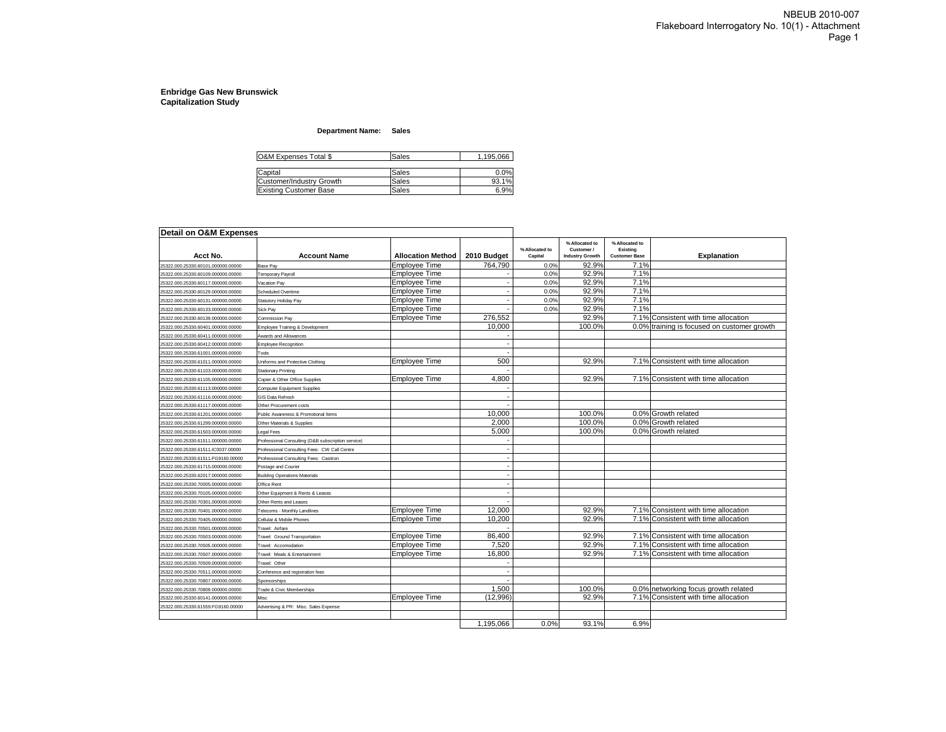#### **Department Name: Sales**

| <b>O&amp;M Expenses Total \$</b> | Sales | 1,195,066 |
|----------------------------------|-------|-----------|
| Capital                          | Sales | 0.0%      |
| Customer/Industry Growth         | Sales | 93.1%     |
| <b>Existing Customer Base</b>    | Sales | 6.9%      |

| Detail on O&M Expenses             |                                                    |                          |             |                           |                                                        |                                                    |                                             |
|------------------------------------|----------------------------------------------------|--------------------------|-------------|---------------------------|--------------------------------------------------------|----------------------------------------------------|---------------------------------------------|
| Acct No.                           | <b>Account Name</b>                                | <b>Allocation Method</b> | 2010 Budget | % Allocated to<br>Capital | % Allocated to<br>Customer /<br><b>Industry Growth</b> | % Allocated to<br>Existing<br><b>Customer Base</b> | <b>Explanation</b>                          |
| 25322.000.25330.60101.000000.00000 | Base Pav                                           | <b>Emplovee Time</b>     | 764.790     | 0.0%                      | 92.9%                                                  | 7.1%                                               |                                             |
| 25322.000.25330.60109.000000.00000 | Femporary Payroll                                  | <b>Employee Time</b>     |             | 0.0%                      | 92.9%                                                  | 7.1%                                               |                                             |
| 25322.000.25330.60117.000000.00000 | Vacation Pay                                       | <b>Employee Time</b>     |             | 0.0%                      | 92.9%                                                  | 7.1%                                               |                                             |
| 25322.000.25330.60129.000000.00000 | Scheduled Overtime                                 | Emplovee Time            |             | 0.0%                      | 92.9%                                                  | 7.1%                                               |                                             |
| 25322.000.25330.60131.000000.00000 | Statutory Holiday Pay                              | <b>Employee Time</b>     |             | 0.0%                      | 92.9%                                                  | 7.1%                                               |                                             |
| 25322.000.25330.60133.000000.00000 | Sick Pay                                           | Employee Time            |             | 0.0%                      | 92.9%                                                  | 7.1%                                               |                                             |
| 25322.000.25330.60139.000000.00000 | Commission Pay                                     | <b>Employee Time</b>     | 276,552     |                           | 92.9%                                                  |                                                    | 7.1% Consistent with time allocation        |
| 25322.000.25330.60401.000000.00000 | Employee Training & Development                    |                          | 10,000      |                           | 100.0%                                                 |                                                    | 0.0% training is focused on customer growth |
| 25322.000.25330.60411.000000.00000 | Awards and Allowances                              |                          |             |                           |                                                        |                                                    |                                             |
| 25322.000.25330.60412.000000.00000 | Employee Recognition                               |                          |             |                           |                                                        |                                                    |                                             |
| 25322.000.25330.61001.000000.00000 | Tools                                              |                          |             |                           |                                                        |                                                    |                                             |
| 25322.000.25330.61011.000000.00000 | <b>Jniforms and Protective Clothing</b>            | <b>Employee Time</b>     | 500         |                           | 92.9%                                                  |                                                    | 7.1% Consistent with time allocation        |
| 25322.000.25330.61103.000000.00000 | Stationary Printing                                |                          |             |                           |                                                        |                                                    |                                             |
| 25322.000.25330.61105.000000.00000 | Copier & Other Office Supplies                     | <b>Employee Time</b>     | 4,800       |                           | 92.9%                                                  |                                                    | 7.1% Consistent with time allocation        |
| 25322.000.25330.61113.000000.00000 | <b>Computer Equipment Supplies</b>                 |                          |             |                           |                                                        |                                                    |                                             |
| 25322.000.25330.61116.000000.00000 | <b>GIS Data Refresh</b>                            |                          |             |                           |                                                        |                                                    |                                             |
| 25322.000.25330.61117.000000.00000 | Other Procurement costs                            |                          |             |                           |                                                        |                                                    |                                             |
| 25322.000.25330.61201.000000.00000 | Public Awareness & Promotional Items               |                          | 10,000      |                           | 100.0%                                                 |                                                    | 0.0% Growth related                         |
| 25322.000.25330.61299.000000.00000 | Other Materials & Supplies                         |                          | 2,000       |                           | 100.0%                                                 |                                                    | 0.0% Growth related                         |
| 25322.000.25330.61503.000000.00000 | Legal Fees                                         |                          | 5.000       |                           | 100.0%                                                 |                                                    | 0.0% Growth related                         |
| 25322.000.25330.61511.000000.00000 | Professional Consulting (D&B subscription service) |                          |             |                           |                                                        |                                                    |                                             |
| 25322.000.25330.61511.IC0037.00000 | Professional Consulting Fees: CW Call Centre       |                          |             |                           |                                                        |                                                    |                                             |
| 25322.000.25330.61511.FG9160.00000 | Professional Consulting Fees: Casitron             |                          |             |                           |                                                        |                                                    |                                             |
| 25322.000.25330.61715.000000.00000 | Postage and Courier                                |                          |             |                           |                                                        |                                                    |                                             |
| 25322.000.25330.62017.000000.00000 | Building Operations-Materials                      |                          |             |                           |                                                        |                                                    |                                             |
| 25322.000.25330.70005.000000.00000 | Office Rent                                        |                          |             |                           |                                                        |                                                    |                                             |
| 25322.000.25330.70105.000000.00000 | Other Equipment & Rents & Leases                   |                          |             |                           |                                                        |                                                    |                                             |
| 25322.000.25330.70301.000000.00000 | Other Rents and Leases                             |                          |             |                           |                                                        |                                                    |                                             |
| 25322.000.25330.70401.000000.00000 | <b>Telecoms - Monthly Landlines</b>                | Employee Time            | 12,000      |                           | 92.9%                                                  |                                                    | 7.1% Consistent with time allocation        |
| 25322.000.25330.70405.000000.00000 | Cellular & Mobile Phones                           | Employee Time            | 10,200      |                           | 92.9%                                                  |                                                    | 7.1% Consistent with time allocation        |
| 25322.000.25330.70501.000000.00000 | Travel: Airfare                                    |                          |             |                           |                                                        |                                                    |                                             |
| 25322.000.25330.70503.000000.00000 | Travel: Ground Transportation                      | <b>Employee Time</b>     | 86,400      |                           | 92.9%                                                  |                                                    | 7.1% Consistent with time allocation        |
| 25322.000.25330.70505.000000.00000 | Travel: Accomodation                               | Employee Time            | 7.520       |                           | 92.9%                                                  |                                                    | 7.1% Consistent with time allocation        |
| 25322.000.25330.70507.000000.00000 | Travel: Meals & Entertainment                      | <b>Employee Time</b>     | 16,800      |                           | 92.9%                                                  |                                                    | 7.1% Consistent with time allocation        |
| 25322.000.25330.70509.000000.00000 | Travel: Other                                      |                          |             |                           |                                                        |                                                    |                                             |
| 25322.000.25330.70511.000000.00000 | Conference and registration fees                   |                          |             |                           |                                                        |                                                    |                                             |
| 25322.000.25330.70807.000000.00000 | Sponsorships                                       |                          |             |                           |                                                        |                                                    |                                             |
| 25322.000.25330.70809.000000.00000 | Trade & Civic Memberships                          |                          | 1.500       |                           | 100.0%                                                 |                                                    | 0.0% networking focus growth related        |
| 25322.000.25330.60141.000000.00000 | Misc                                               | <b>Employee Time</b>     | (12,996)    |                           | 92.9%                                                  |                                                    | 7.1% Consistent with time allocation        |
| 25322.000.25330.61559.FG9160.00000 |                                                    |                          |             |                           |                                                        |                                                    |                                             |
|                                    | Advertising & PR: Misc. Sales Expense              |                          |             |                           |                                                        |                                                    |                                             |
|                                    |                                                    |                          | 1.195.066   | 0.0%                      | 93.1%                                                  | 6.9%                                               |                                             |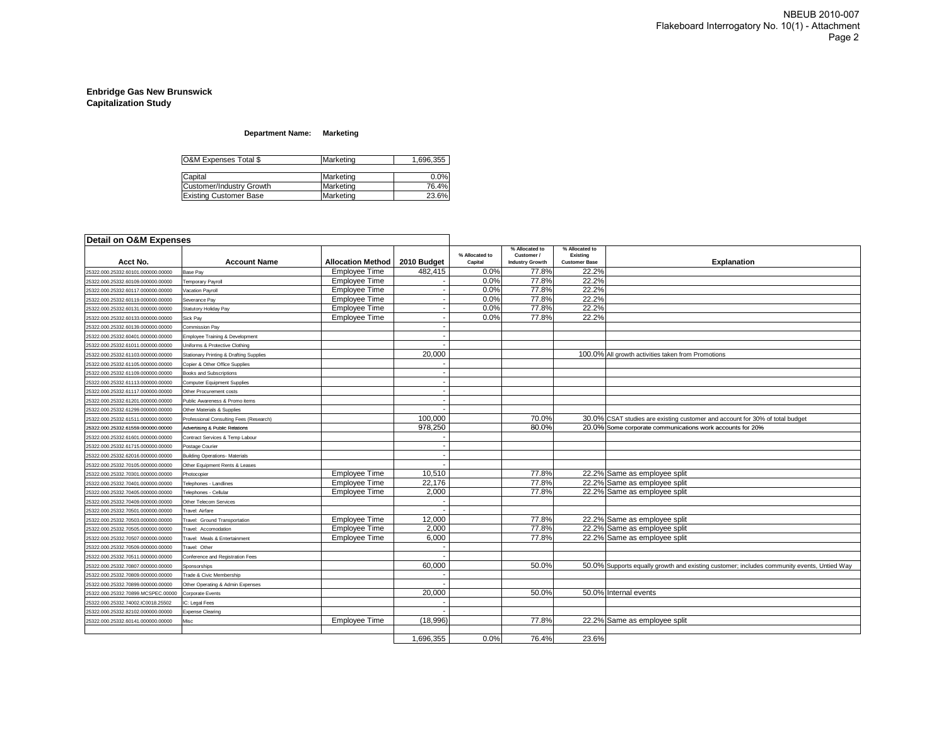### **Department Name: Marketing**

| O&M Expenses Total \$         | Marketing | 1.696.355 |
|-------------------------------|-----------|-----------|
|                               |           |           |
| Capital                       | Marketing | 0.0%      |
| Customer/Industry Growth      | Marketing | 76.4%     |
| <b>Existing Customer Base</b> | Marketing | 23.6%     |

| <b>Detail on O&amp;M Expenses</b>  |                                                    |                          |                          |                           |                                                        |                                                    |                                                                                            |
|------------------------------------|----------------------------------------------------|--------------------------|--------------------------|---------------------------|--------------------------------------------------------|----------------------------------------------------|--------------------------------------------------------------------------------------------|
| Acct No.                           | <b>Account Name</b>                                | <b>Allocation Method</b> | 2010 Budget              | % Allocated to<br>Capital | % Allocated to<br>Customer /<br><b>Industry Growth</b> | % Allocated to<br>Existing<br><b>Customer Base</b> | <b>Explanation</b>                                                                         |
| 25322.000.25332.60101.000000.00000 | ase Pav                                            | <b>Employee Time</b>     | 482,415                  | 0.0%                      | 77.8%                                                  | 22.2%                                              |                                                                                            |
| 25322.000.25332.60109.000000.00000 | emporary Payroll                                   | <b>Employee Time</b>     |                          | 0.0%                      | 77.8%                                                  | 22.2%                                              |                                                                                            |
| 25322.000.25332.60117.000000.00000 | /acation Payroll                                   | <b>Employee Time</b>     |                          | 0.0%                      | 77.8%                                                  | 22.2%                                              |                                                                                            |
| 25322.000.25332.60119.000000.00000 | Severance Pay                                      | <b>Employee Time</b>     |                          | 0.0%                      | 77.8%                                                  | 22.2%                                              |                                                                                            |
| 25322.000.25332.60131.000000.00000 | Statutory Holiday Pay                              | <b>Employee Time</b>     |                          | 0.0%                      | 77.8%                                                  | 22.2%                                              |                                                                                            |
| 25322.000.25332.60133.000000.00000 | Sick Pay                                           | <b>Employee Time</b>     |                          | 0.0%                      | 77.8%                                                  | 22.2%                                              |                                                                                            |
| 25322.000.25332.60139.000000.00000 | Commission Pay                                     |                          |                          |                           |                                                        |                                                    |                                                                                            |
| 25322.000.25332.60401.000000.00000 | Imployee Training & Development                    |                          | $\overline{\phantom{a}}$ |                           |                                                        |                                                    |                                                                                            |
| 25322.000.25332.61011.000000.00000 | <b>Jniforms &amp; Protective Clothing</b>          |                          |                          |                           |                                                        |                                                    |                                                                                            |
| 25322.000.25332.61103.000000.00000 | <b>Stationary Printing &amp; Drafting Supplies</b> |                          | 20,000                   |                           |                                                        |                                                    | 100.0% All growth activities taken from Promotions                                         |
| 25322.000.25332.61105.000000.00000 | Copier & Other Office Supplies                     |                          |                          |                           |                                                        |                                                    |                                                                                            |
| 25322.000.25332.61109.000000.00000 | <b>Books and Subscriptions</b>                     |                          |                          |                           |                                                        |                                                    |                                                                                            |
| 25322.000.25332.61113.000000.00000 | Computer Equipment Supplies                        |                          | $\overline{\phantom{a}}$ |                           |                                                        |                                                    |                                                                                            |
| 25322.000.25332.61117.000000.00000 | Other Procurement costs                            |                          |                          |                           |                                                        |                                                    |                                                                                            |
| 25322.000.25332.61201.000000.00000 | Public Awareness & Promo items                     |                          |                          |                           |                                                        |                                                    |                                                                                            |
| 25322.000.25332.61299.000000.00000 | Other Materials & Supplies                         |                          |                          |                           |                                                        |                                                    |                                                                                            |
| 25322.000.25332.61511.000000.00000 | Professional Consulting Fees (Research)            |                          | 100,000                  |                           | 70.0%                                                  |                                                    | 30.0% CSAT studies are existing customer and account for 30% of total budget               |
| 25322.000.25332.61559.000000.00000 | <b>Advertising &amp; Public Relations</b>          |                          | 978,250                  |                           | 80.0%                                                  |                                                    | 20.0% Some corporate communications work accounts for 20%                                  |
| 25322.000.25332.61601.000000.00000 | Contract Services & Temp Labour                    |                          |                          |                           |                                                        |                                                    |                                                                                            |
| 25322.000.25332.61715.000000.00000 | ostage Courier                                     |                          |                          |                           |                                                        |                                                    |                                                                                            |
| 25322.000.25332.62016.000000.00000 | <b>Building Operations- Materials</b>              |                          | $\overline{\phantom{a}}$ |                           |                                                        |                                                    |                                                                                            |
| 25322.000.25332.70105.000000.00000 | Other Equipment Rents & Leases                     |                          |                          |                           |                                                        |                                                    |                                                                                            |
| 25322.000.25332.70301.000000.00000 | Photocopier                                        | <b>Employee Time</b>     | 10.510                   |                           | 77.8%                                                  |                                                    | 22.2% Same as employee split                                                               |
| 25322.000.25332.70401.000000.00000 | elephones - Landlines                              | <b>Employee Time</b>     | 22,176                   |                           | 77.8%                                                  |                                                    | 22.2% Same as employee split                                                               |
| 25322.000.25332.70405.000000.00000 | Telephones - Cellular                              | <b>Employee Time</b>     | 2,000                    |                           | 77.8%                                                  |                                                    | 22.2% Same as employee split                                                               |
| 25322.000.25332.70409.000000.00000 | Other Telecom Services                             |                          |                          |                           |                                                        |                                                    |                                                                                            |
| 25322.000.25332.70501.000000.00000 | Travel: Airfare                                    |                          |                          |                           |                                                        |                                                    |                                                                                            |
| 25322.000.25332.70503.000000.00000 | ravel: Ground Transportation                       | Employee Time            | 12,000                   |                           | 77.8%                                                  |                                                    | 22.2% Same as employee split                                                               |
| 25322.000.25332.70505.000000.00000 | ravel: Accomodation                                | <b>Employee Time</b>     | 2.000                    |                           | 77.8%                                                  |                                                    | 22.2% Same as employee split                                                               |
| 25322.000.25332.70507.000000.00000 | Travel: Meals & Entertainment                      | <b>Employee Time</b>     | 6,000                    |                           | 77.8%                                                  |                                                    | 22.2% Same as employee split                                                               |
| 25322.000.25332.70509.000000.00000 | ravel: Other                                       |                          |                          |                           |                                                        |                                                    |                                                                                            |
| 25322.000.25332.70511.000000.00000 | Conference and Registration Fees                   |                          |                          |                           |                                                        |                                                    |                                                                                            |
| 25322.000.25332.70807.000000.00000 | Sponsorships                                       |                          | 60.000                   |                           | 50.0%                                                  |                                                    | 50.0% Supports equally growth and existing customer; includes community events, Untied Way |
| 25322.000.25332.70809.000000.00000 | rade & Civic Membership                            |                          |                          |                           |                                                        |                                                    |                                                                                            |
| 25322.000.25332.70899.000000.00000 | Other Operating & Admin Expenses                   |                          |                          |                           |                                                        |                                                    |                                                                                            |
| 25322.000.25332.70899.MCSPEC.00000 | Corporate Events                                   |                          | 20,000                   |                           | 50.0%                                                  |                                                    | 50.0% Internal events                                                                      |
| 25322.000.25332.74002.IC0018.25502 | : Legal Fees                                       |                          |                          |                           |                                                        |                                                    |                                                                                            |
| 25322.000.25332.82102.000000.00000 | <b>Expense Clearing</b>                            |                          |                          |                           |                                                        |                                                    |                                                                                            |
| 25322.000.25332.60141.000000.00000 | lisc                                               | <b>Employee Time</b>     | (18,996)                 |                           | 77.8%                                                  |                                                    | 22.2% Same as employee split                                                               |
|                                    |                                                    |                          |                          |                           |                                                        |                                                    |                                                                                            |
|                                    |                                                    |                          | 1,696,355                | 0.0%                      | 76.4%                                                  | 23.6%                                              |                                                                                            |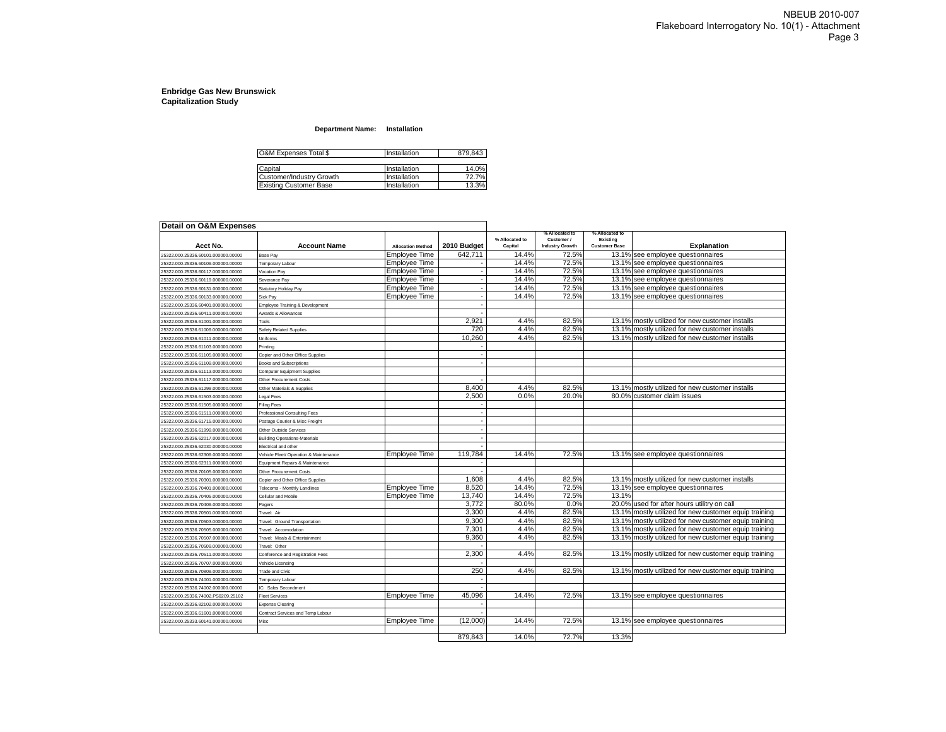#### **Department Name: Installation**

| O&M Expenses Total \$         | Installation | 879,843 |
|-------------------------------|--------------|---------|
| Capital                       | Installation | 14.0%   |
| Customer/Industry Growth      | Installation | 72.7%   |
| <b>Existing Customer Base</b> | Installation | 13.3%   |

| Detail on O&M Expenses             |                                        |                          |             |                           |                                                        |                                                    |                                                       |
|------------------------------------|----------------------------------------|--------------------------|-------------|---------------------------|--------------------------------------------------------|----------------------------------------------------|-------------------------------------------------------|
| Acct No.                           | <b>Account Name</b>                    | <b>Allocation Method</b> | 2010 Budget | % Allocated to<br>Capital | % Allocated to<br>Customer /<br><b>Industry Growth</b> | % Allocated to<br>Existina<br><b>Customer Base</b> | <b>Explanation</b>                                    |
| 25322.000.25336.60101.000000.00000 | Base Pay                               | Employee Time            | 642,711     | 14.4%                     | 72.5%                                                  |                                                    | 13.1% see employee questionnaires                     |
| 25322.000.25336.60109.000000.00000 | Temporary Labour                       | <b>Employee Time</b>     |             | 14.4%                     | 72.5%                                                  |                                                    | 13.1% see employee questionnaires                     |
| 25322.000.25336.60117.000000.00000 | <b>/acation Pav</b>                    | <b>Employee Time</b>     |             | 14.4%                     | 72.5%                                                  |                                                    | 13.1% see employee questionnaires                     |
| 25322.000.25336.60119.000000.00000 | Severance Pav                          | <b>Employee Time</b>     |             | 14.4%                     | 72.5%                                                  |                                                    | 13.1% see employee questionnaires                     |
| 25322.000.25336.60131.000000.00000 | Statutory Holiday Pay                  | <b>Employee Time</b>     |             | 14.4%                     | 72.5%                                                  |                                                    | 13.1% see employee questionnaires                     |
| 25322.000.25336.60133.000000.00000 | Sick Pav                               | <b>Employee Time</b>     |             | 14.4%                     | 72.5%                                                  | 13.1%                                              | see employee questionnaires                           |
| 25322.000.25336.60401.000000.00000 | Employee Training & Development        |                          |             |                           |                                                        |                                                    |                                                       |
| 25322.000.25336.60411.000000.00000 | wards & Allowances                     |                          |             |                           |                                                        |                                                    |                                                       |
| 25322.000.25336.61001.000000.00000 | Tools                                  |                          | 2,921       | 4.4%                      | 82.5%                                                  |                                                    | 13.1% mostly utilized for new customer installs       |
| 25322.000.25336.61009.000000.00000 | Safety Related Supplies                |                          | 720         | 4.4%                      | 82.5%                                                  |                                                    | 13.1% mostly utilized for new customer installs       |
| 25322.000.25336.61011.000000.00000 | <b>Jniforms</b>                        |                          | 10.260      | 4.4%                      | 82.5%                                                  |                                                    | 13.1% mostly utilized for new customer installs       |
| 25322.000.25336.61103.000000.00000 | Printing                               |                          |             |                           |                                                        |                                                    |                                                       |
| 25322.000.25336.61105.000000.00000 | Copier and Other Office Supplies       |                          |             |                           |                                                        |                                                    |                                                       |
| 25322.000.25336.61109.000000.00000 | <b>Books and Subscriptions</b>         |                          |             |                           |                                                        |                                                    |                                                       |
| 25322.000.25336.61113.000000.00000 | Computer Equipment Supplies            |                          |             |                           |                                                        |                                                    |                                                       |
| 25322.000.25336.61117.000000.00000 | Other Procurement Costs                |                          |             |                           |                                                        |                                                    |                                                       |
| 25322.000.25336.61299.000000.00000 | Other Materials & Supplies             |                          | 8,400       | 4.4%                      | 82.5%                                                  |                                                    | 13.1% mostly utilized for new customer installs       |
| 25322.000.25336.61503.000000.00000 | egal Fees                              |                          | 2,500       | 0.0%                      | 20.0%                                                  |                                                    | 80.0% customer claim issues                           |
| 25322.000.25336.61505.000000.00000 | Filing Fees                            |                          |             |                           |                                                        |                                                    |                                                       |
| 25322.000.25336.61511.000000.00000 | Professional Consulting Fees           |                          |             |                           |                                                        |                                                    |                                                       |
| 25322.000.25336.61715.000000.00000 | Postage Courier & Misc Freight         |                          |             |                           |                                                        |                                                    |                                                       |
| 25322.000.25336.61999.000000.00000 | Other Outside Services                 |                          |             |                           |                                                        |                                                    |                                                       |
| 25322.000.25336.62017.000000.00000 | <b>Building Operations-Materials</b>   |                          |             |                           |                                                        |                                                    |                                                       |
| 25322.000.25336.62030.000000.00000 | Electrical and other                   |                          |             |                           |                                                        |                                                    |                                                       |
| 25322.000.25336.62309.000000.00000 | Vehicle Fleet/ Operation & Maintenance | <b>Employee Time</b>     | 119.784     | 14.4%                     | 72.5%                                                  |                                                    | 13.1% see employee questionnaires                     |
| 25322.000.25336.62311.000000.00000 | Equipment Repairs & Maintenance        |                          |             |                           |                                                        |                                                    |                                                       |
| 25322.000.25336.70105.000000.00000 | Other Procurement Costs                |                          |             |                           |                                                        |                                                    |                                                       |
| 25322.000.25336.70301.000000.00000 | Copier and Other Office Supplies       |                          | 1.608       | 4.4%                      | 82.5%                                                  |                                                    | 13.1% mostly utilized for new customer installs       |
| 25322.000.25336.70401.000000.00000 | Felecoms - Monthly Landlines           | <b>Employee Time</b>     | 8.520       | 14.4%                     | 72.5%                                                  |                                                    | 13.1% see employee questionnaires                     |
| 25322.000.25336.70405.000000.00000 | Cellular and Mobile                    | <b>Employee Time</b>     | 13,740      | 14.4%                     | 72.5%                                                  | 13.1%                                              |                                                       |
| 25322.000.25336.70409.000000.00000 | Pagers                                 |                          | 3,772       | 80.0%                     | 0.0%                                                   |                                                    | 20.0% used for after hours utilitry on call           |
| 25322.000.25336.70501.000000.00000 | Travel: Air                            |                          | 3,300       | 4.4%                      | 82.5%                                                  |                                                    | 13.1% mostly utilized for new customer equip training |
| 25322.000.25336.70503.000000.00000 | <b>Travel: Ground Transportation</b>   |                          | 9,300       | 4.4%                      | 82.5%                                                  |                                                    | 13.1% mostly utilized for new customer equip training |
| 25322.000.25336.70505.000000.00000 | Travel: Accomodation                   |                          | 7,301       | 4.4%                      | 82.5%                                                  |                                                    | 13.1% mostly utilized for new customer equip training |
| 25322.000.25336.70507.000000.00000 | Travel: Meals & Entertainment          |                          | 9,360       | 4.4%                      | 82.5%                                                  |                                                    | 13.1% mostly utilized for new customer equip training |
| 25322.000.25336.70509.000000.00000 | Travel: Other                          |                          |             |                           |                                                        |                                                    |                                                       |
| 25322.000.25336.70511.000000.00000 | Conference and Registration Fees       |                          | 2,300       | 4.4%                      | 82.5%                                                  |                                                    | 13.1% mostly utilized for new customer equip training |
| 25322.000.25336.70707.000000.00000 | /ehicle Licensing                      |                          |             |                           |                                                        |                                                    |                                                       |
| 25322.000.25336.70809.000000.00000 | <b>Trade and Civic</b>                 |                          | 250         | 4.4%                      | 82.5%                                                  |                                                    | 13.1% mostly utilized for new customer equip training |
| 25322.000.25336.74001.000000.00000 | <b>Temporary Labour</b>                |                          |             |                           |                                                        |                                                    |                                                       |
| 25322.000.25336.74002.000000.00000 | IC: Sales Secondment                   |                          |             |                           |                                                        |                                                    |                                                       |
| 25322.000.25336.74002.PS0209.25102 | Fleet Services                         | <b>Employee Time</b>     | 45.096      | 14.4%                     | 72.5%                                                  |                                                    | 13.1% see employee questionnaires                     |
| 25322.000.25336.82102.000000.00000 | <b>Expense Clearing</b>                |                          |             |                           |                                                        |                                                    |                                                       |
| 25322.000.25336.61601.000000.00000 | Contract Services and Temp Labour      |                          |             |                           |                                                        |                                                    |                                                       |
| 25322.000.25333.60141.000000.00000 | Misc                                   | Employee Time            | (12,000)    | 14.4%                     | 72.5%                                                  |                                                    | 13.1% see employee questionnaires                     |
|                                    |                                        |                          |             |                           |                                                        |                                                    |                                                       |
|                                    |                                        |                          | 879.843     | 14.0%                     | 72.7%                                                  | 13.3%                                              |                                                       |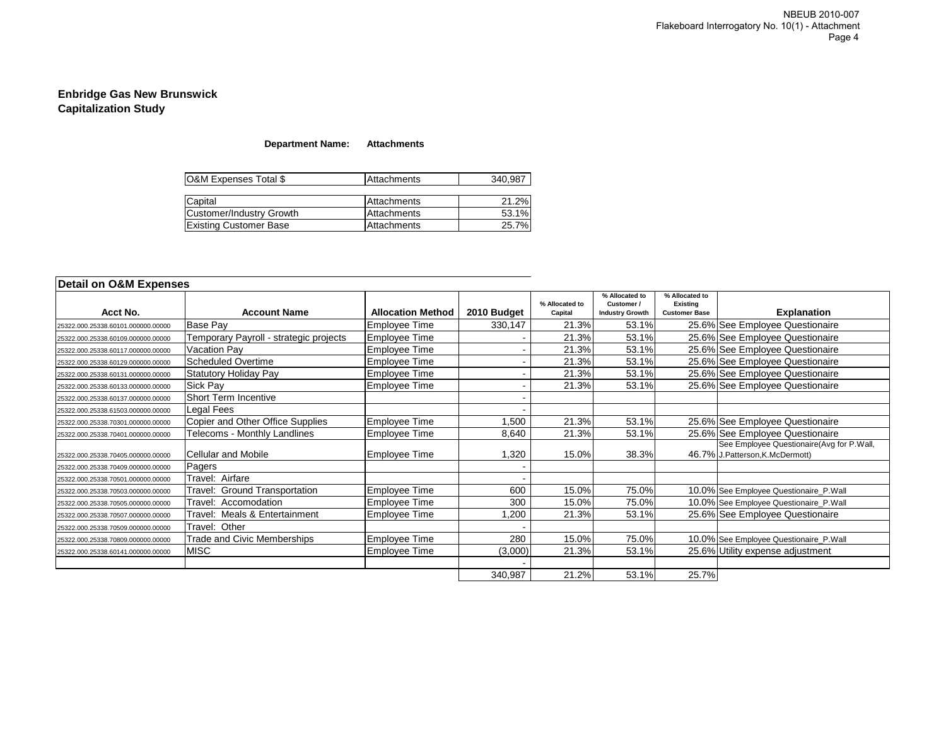### **Department Name: Attachments**

| O&M Expenses Total \$         | Attachments | 340.987 |
|-------------------------------|-------------|---------|
|                               |             |         |
| Capital                       | Attachments | 21.2%   |
| Customer/Industry Growth      | Attachments | 53.1%   |
| <b>Existing Customer Base</b> | Attachments | 25.7%   |

| Acct No.                           | <b>Account Name</b>                    | <b>Allocation Method</b> | 2010 Budget | % Allocated to<br>Capital | % Allocated to<br>Customer /<br><b>Industry Growth</b> | % Allocated to<br><b>Existing</b><br><b>Customer Base</b> | <b>Explanation</b>                                                            |
|------------------------------------|----------------------------------------|--------------------------|-------------|---------------------------|--------------------------------------------------------|-----------------------------------------------------------|-------------------------------------------------------------------------------|
| 25322.000.25338.60101.000000.00000 | Base Pay                               | <b>Employee Time</b>     | 330,147     | 21.3%                     | 53.1%                                                  |                                                           | 25.6% See Employee Questionaire                                               |
| 25322.000.25338.60109.000000.00000 | Femporary Payroll - strategic projects | Employee Time            |             | 21.3%                     | 53.1%                                                  |                                                           | 25.6% See Employee Questionaire                                               |
| 25322.000.25338.60117.000000.00000 | Vacation Pay                           | Employee Time            |             | 21.3%                     | 53.1%                                                  |                                                           | 25.6% See Employee Questionaire                                               |
| 25322.000.25338.60129.000000.00000 | <b>Scheduled Overtime</b>              | Employee Time            |             | 21.3%                     | 53.1%                                                  |                                                           | 25.6% See Employee Questionaire                                               |
| 25322.000.25338.60131.000000.00000 | Statutory Holiday Pay                  | <b>Employee Time</b>     |             | 21.3%                     | 53.1%                                                  |                                                           | 25.6% See Employee Questionaire                                               |
| 25322.000.25338.60133.000000.00000 | Sick Pay                               | <b>Employee Time</b>     |             | 21.3%                     | 53.1%                                                  |                                                           | 25.6% See Employee Questionaire                                               |
| 25322.000.25338.60137.000000.00000 | <b>Short Term Incentive</b>            |                          |             |                           |                                                        |                                                           |                                                                               |
| 25322.000.25338.61503.000000.00000 | Legal Fees                             |                          |             |                           |                                                        |                                                           |                                                                               |
| 25322.000.25338.70301.000000.00000 | Copier and Other Office Supplies       | <b>Employee Time</b>     | 1,500       | 21.3%                     | 53.1%                                                  |                                                           | 25.6% See Employee Questionaire                                               |
| 25322.000.25338.70401.000000.00000 | Felecoms - Monthly Landlines           | Employee Time            | 8,640       | 21.3%                     | 53.1%                                                  |                                                           | 25.6% See Employee Questionaire                                               |
| 25322.000.25338.70405.000000.00000 | <b>Cellular and Mobile</b>             | <b>Employee Time</b>     | 1,320       | 15.0%                     | 38.3%                                                  |                                                           | See Employee Questionaire (Avg for P.Wall,<br>46.7% J.Patterson, K.McDermott) |
| 25322.000.25338.70409.000000.00000 | Pagers                                 |                          |             |                           |                                                        |                                                           |                                                                               |
| 25322.000.25338.70501.000000.00000 | <b>Travel: Airfare</b>                 |                          |             |                           |                                                        |                                                           |                                                                               |
| 25322.000.25338.70503.000000.00000 | ravel: Ground Transportation           | Employee Time            | 600         | 15.0%                     | 75.0%                                                  |                                                           | 10.0% See Employee Questionaire_P.Wall                                        |
| 25322.000.25338.70505.000000.00000 | Fravel: Accomodation                   | <b>Employee Time</b>     | 300         | 15.0%                     | 75.0%                                                  |                                                           | 10.0% See Employee Questionaire_P.Wall                                        |
| 25322.000.25338.70507.000000.00000 | Meals & Entertainment<br>ravel:        | Employee Time            | ,200        | 21.3%                     | 53.1%                                                  |                                                           | 25.6% See Employee Questionaire                                               |
| 25322.000.25338.70509.000000.00000 | Travel: Other                          |                          |             |                           |                                                        |                                                           |                                                                               |
| 25322.000.25338.70809.000000.00000 | <b>Frade and Civic Memberships</b>     | Employee Time            | 280         | 15.0%                     | 75.0%                                                  |                                                           | 10.0% See Employee Questionaire_P.Wall                                        |
| 25322.000.25338.60141.000000.00000 | <b>MISC</b>                            | Employee Time            | (3,000)     | 21.3%                     | 53.1%                                                  |                                                           | 25.6% Utility expense adjustment                                              |
|                                    |                                        |                          |             |                           |                                                        |                                                           |                                                                               |
|                                    |                                        |                          | 340,987     | 21.2%                     | 53.1%                                                  | 25.7%                                                     |                                                                               |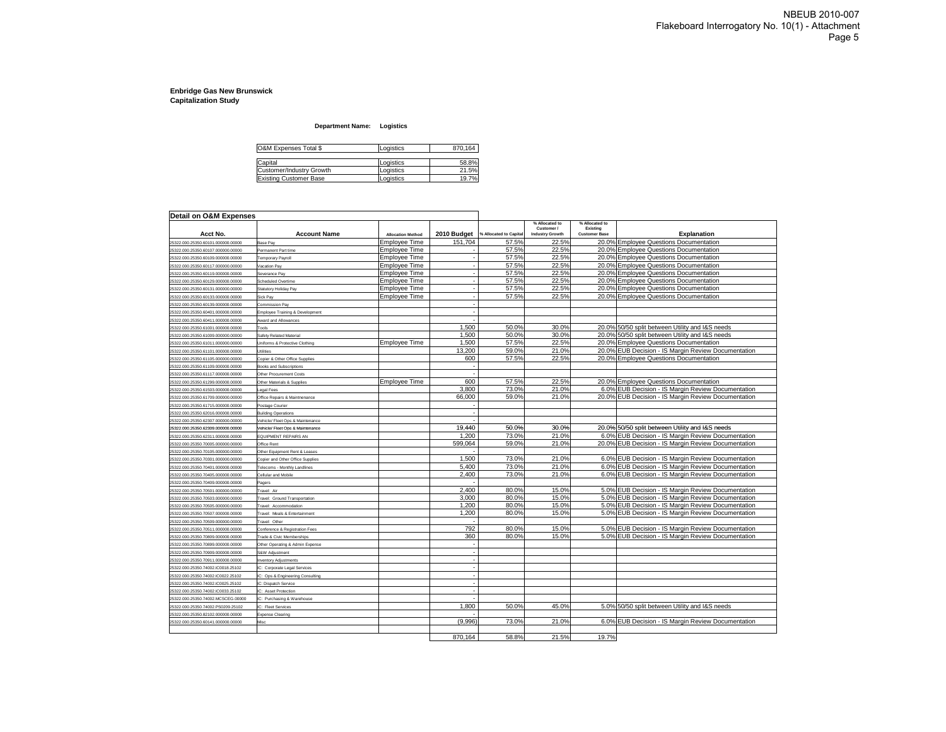#### **Department Name: Logistics**

| O&M Expenses Total \$    | Logistics | 870,164 |
|--------------------------|-----------|---------|
|                          |           |         |
| Capital                  | Logistics | 58.8%   |
| Customer/Industrv Growth | Logistics | 21.5%   |
| Existing Customer Base   | Logistics | 19.7%   |

| Detail on O&M Expenses                                                 |                                                    |                          |                          |                        |                                      |                                  |                                                     |
|------------------------------------------------------------------------|----------------------------------------------------|--------------------------|--------------------------|------------------------|--------------------------------------|----------------------------------|-----------------------------------------------------|
|                                                                        |                                                    |                          |                          |                        | % Allocated to                       | % Allocated to                   |                                                     |
| Acct No.                                                               | <b>Account Name</b>                                | <b>Allocation Method</b> | 2010 Budget              | % Allocated to Capital | Customer /<br><b>Industry Growth</b> | Existing<br><b>Customer Base</b> | <b>Explanation</b>                                  |
| 5322.000.25350.60101.000000.00000                                      | Base Pay                                           | <b>Employee Time</b>     | 151,704                  | 57.5%                  | 22.5%                                |                                  | 20.0% Employee Questions Documentation              |
| 5322.000.25350.60107.000000.00000                                      | Permanent Part time                                | Emplovee Time            |                          | 57.5%                  | 22.5%                                |                                  | 20.0% Employee Questions Documentation              |
| 5322.000.25350.60109.000000.00000                                      | <b>Temporary Payroll</b>                           | <b>Employee Time</b>     |                          | 57.5%                  | 22.5%                                |                                  | 20.0% Employee Questions Documentation              |
| 5322.000.25350.60117.000000.00000                                      | Vacation Pay                                       | <b>Employee Time</b>     |                          | 57.5%                  | 22.5%                                |                                  | 20.0% Employee Questions Documentation              |
| 25322.000.25350.60119.000000.00000                                     | Severance Pay                                      | <b>Employee Time</b>     | $\overline{\phantom{a}}$ | 57.5%                  | 22.5%                                |                                  | 20.0% Employee Questions Documentation              |
| 5322.000.25350.60129.000000.00000                                      | Scheduled Overtime                                 | Emplovee Time            |                          | 57.5%                  | 22.5%                                |                                  | 20.0% Employee Questions Documentation              |
| 5322.000.25350.60131.000000.00000                                      | Statutory Holiday Pay                              | Employee Time            |                          | 57.5%                  | 22.5%                                |                                  | 20.0% Employee Questions Documentation              |
| 5322.000.25350.60133.000000.00000                                      | Sick Pay                                           | <b>Employee Time</b>     | $\overline{\phantom{a}}$ | 57.5%                  | 22.5%                                |                                  | 20.0% Employee Questions Documentation              |
| 5322.000.25350.60139.000000.00000                                      | <b>Commission Pav</b>                              |                          |                          |                        |                                      |                                  |                                                     |
| 25322.000.25350.60401.000000.00000                                     | Employee Training & Development                    |                          |                          |                        |                                      |                                  |                                                     |
| 5322.000.25350.60411.000000.00000                                      | Award and Allowances                               |                          |                          |                        |                                      |                                  |                                                     |
| !5322.000.25350.61001.000000.00000                                     | Tools                                              |                          | 1,500                    | 50.0%                  | 30.0%                                |                                  | 20.0% 50/50 split between Utility and I&S needs     |
| !5322.000.25350.61009.000000.00000                                     | Safety Related Material                            |                          | 1,500                    | 50.0%                  | 30.0%                                |                                  | 20.0% 50/50 split between Utility and I&S needs     |
| 5322.000.25350.61011.000000.00000                                      | Uniforms & Protective Clothing                     | <b>Employee Time</b>     | 1,500                    | 57.5%                  | 22.5%                                |                                  | 20.0% Employee Questions Documentation              |
| 25322.000.25350.61101.000000.00000                                     | Utilities                                          |                          | 13,200                   | 59.0%                  | 21.0%                                |                                  | 20.0% EUB Decision - IS Margin Review Documentation |
| 25322.000.25350.61105.000000.00000                                     | Copier & Other Office Supplies                     |                          | 600                      | 57.5%                  | 22.5%                                |                                  | 20.0% Employee Questions Documentation              |
| !5322.000.25350.61109.000000.00000                                     | <b>Books and Subscriptions</b>                     |                          |                          |                        |                                      |                                  |                                                     |
| !5322.000.25350.61117.000000.00000                                     | Other Procurement Costs                            |                          |                          |                        |                                      |                                  |                                                     |
| 25322.000.25350.61299.000000.00000                                     | Other Materials & Supplies                         | <b>Employee Time</b>     | 600                      | 57.5%                  | 22.5%                                |                                  | 20.0% Employee Questions Documentation              |
| !5322.000.25350.61503.000000.00000                                     | Legal Fees                                         |                          | 3,800                    | 73.0%                  | 21.0%                                |                                  | 6.0% EUB Decision - IS Margin Review Documentation  |
| 5322.000.25350.61709.000000.00000                                      | Office Repairs & Maintnenance                      |                          | 66,000                   | 59.0%                  | 21.0%                                |                                  | 20.0% EUB Decision - IS Margin Review Documentation |
| 25322.000.25350.61715.000000.00000                                     | Postage Courier                                    |                          |                          |                        |                                      |                                  |                                                     |
| 25322.000.25350.62016.000000.00000                                     | <b>Building Operations</b>                         |                          |                          |                        |                                      |                                  |                                                     |
| 25322.000.25350.62307.000000.00000                                     | Vehicle/ Fleet Ops & Maintenance                   |                          |                          |                        |                                      |                                  |                                                     |
| 25322.000.25350.62309.000000.00000                                     | Vehicle/ Fleet Ops & Maintenance                   |                          | 19,440                   | 50.0%                  | 30.0%                                |                                  | 20.0% 50/50 split between Utility and I&S needs     |
| 5322.000.25350.62311.000000.00000                                      | EQUIPMENT REPAIRS AN                               |                          | 1.200                    | 73.0%                  | 21.0%                                |                                  | 6.0% EUB Decision - IS Margin Review Documentation  |
| 25322.000.25350.70005.000000.00000                                     | Office Rent                                        |                          | 599,064                  | 59.0%                  | 21.0%                                |                                  | 20.0% EUB Decision - IS Margin Review Documentation |
| !5322.000.25350.70105.000000.00000                                     | Other Equipment Rent & Leases                      |                          |                          |                        |                                      |                                  |                                                     |
| 5322.000.25350.70301.000000.00000                                      | Copier and Other Office Supplies                   |                          | 1.500                    | 73.0%                  | 21.0%                                |                                  | 6.0% EUB Decision - IS Margin Review Documentation  |
| !5322.000.25350.70401.000000.00000                                     | Telecoms - Monthly Landlines                       |                          | 5,400                    | 73.0%                  | 21.0%                                |                                  | 6.0% EUB Decision - IS Margin Review Documentation  |
| 5322.000.25350.70405.000000.00000                                      | Cellular and Mobile                                |                          | 2,400                    | 73.0%                  | 21.0%                                |                                  | 6.0% EUB Decision - IS Margin Review Documentation  |
| 25322.000.25350.70409.000000.00000                                     | Pagers                                             |                          |                          |                        |                                      |                                  |                                                     |
| 25322.000.25350.70501.000000.00000                                     | Travel: Air                                        |                          | 2.400                    | 80.0%                  | 15.0%                                |                                  | 5.0% EUB Decision - IS Margin Review Documentation  |
| !5322.000.25350.70503.000000.00000                                     | Travel: Ground Transportation                      |                          | 3,000                    | 80.0%                  | 15.0%                                |                                  | 5.0% EUB Decision - IS Margin Review Documentation  |
| 5322.000.25350.70505.000000.00000                                      | Travel: Accommodation                              |                          | 1,200                    | 80.0%                  | 15.0%                                |                                  | 5.0% EUB Decision - IS Margin Review Documentation  |
| !5322.000.25350.70507.000000.00000                                     | Travel: Meals & Entertainment                      |                          | 1,200                    | 80.0%                  | 15.0%                                |                                  | 5.0% EUB Decision - IS Margin Review Documentation  |
| 5322.000.25350.70509.000000.00000                                      | Travel: Other                                      |                          |                          |                        |                                      |                                  |                                                     |
| 25322.000.25350.70511.000000.00000                                     | Conference & Registration Fees                     |                          | 792                      | 80.0%                  | 15.0%                                |                                  | 5.0% EUB Decision - IS Margin Review Documentation  |
| 5322.000.25350.70809.000000.00000                                      | Trade & Civic Memberships                          |                          | 360                      | 80.0%                  | 15.0%                                |                                  | 5.0% EUB Decision - IS Margin Review Documentation  |
| !5322.000.25350.70899.000000.00000                                     | Other Operating & Admin Expense                    |                          |                          |                        |                                      |                                  |                                                     |
| 25322.000.25350.70909.000000.00000                                     | S&W Adjustment                                     |                          | $\overline{\phantom{a}}$ |                        |                                      |                                  |                                                     |
| 25322.000.25350.70911.000000.00000                                     | <b>Inventory Adjustments</b>                       |                          |                          |                        |                                      |                                  |                                                     |
| 5322.000.25350.74002.IC0018.25102                                      | IC: Corporate Legal Services                       |                          | ٠.                       |                        |                                      |                                  |                                                     |
| 5322.000.25350.74002.IC0022.25102                                      | IC: Ops & Engineering Consulting                   |                          |                          |                        |                                      |                                  |                                                     |
| 5322.000.25350.74002.IC0025.25102                                      | IC: Dispatch Service                               |                          | $\overline{\phantom{a}}$ |                        |                                      |                                  |                                                     |
|                                                                        |                                                    |                          | ٠.                       |                        |                                      |                                  |                                                     |
| 5322.000.25350.74002.IC0033.25102<br>5322.000.25350.74002.MCSCEG.00000 | IC: Asset Protection<br>IC: Purchasing & Warehouse |                          |                          |                        |                                      |                                  |                                                     |
| 25322.000.25350.74002.PS0209.25102                                     | IC: Fleet Services                                 |                          | 1,800                    | 50.0%                  | 45.0%                                |                                  | 5.0% 50/50 split between Utility and I&S needs      |
| 25322.000.25350.82102.000000.00000                                     | <b>Expense Clearing</b>                            |                          |                          |                        |                                      |                                  |                                                     |
| 25322.000.25350.60141.000000.00000                                     | Misc                                               |                          | (9,996)                  | 73.0%                  | 21.0%                                |                                  | 6.0% EUB Decision - IS Margin Review Documentation  |
|                                                                        |                                                    |                          |                          |                        |                                      |                                  |                                                     |
|                                                                        |                                                    |                          | 870.164                  | 58.8%                  | 21.5%                                | 19.7%                            |                                                     |
|                                                                        |                                                    |                          |                          |                        |                                      |                                  |                                                     |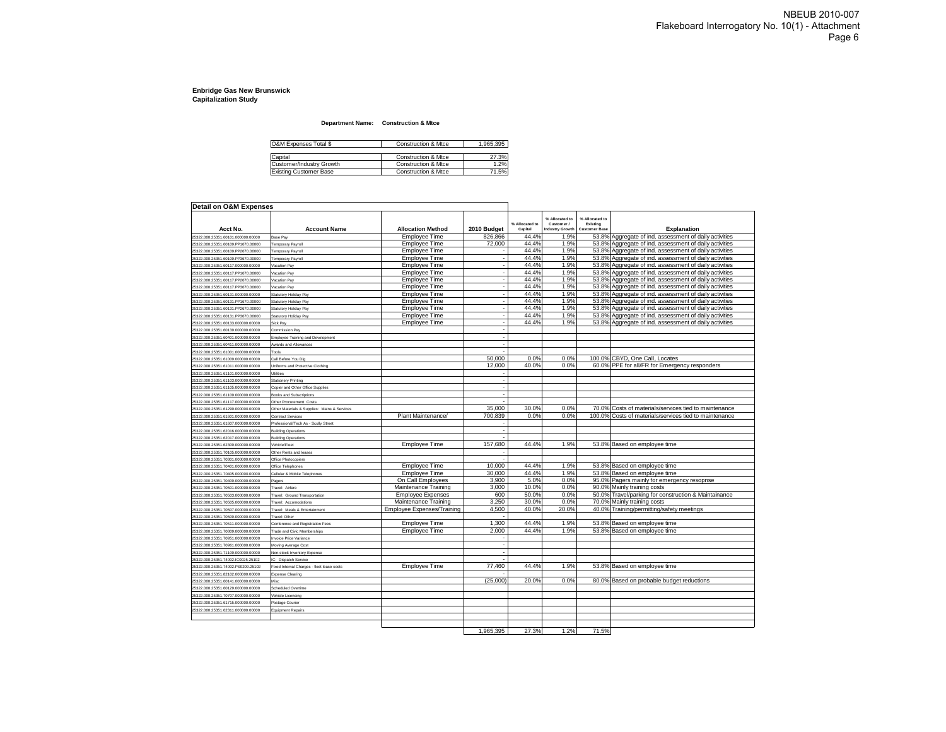#### **Department Name: Construction & Mtce**

| O&M Expenses Total \$    | Construction & Mtce | 1.965.395 |
|--------------------------|---------------------|-----------|
| Capital                  | Construction & Mtce | 27.3%     |
| Customer/Industry Growth | Construction & Mtce | 1.2%      |
| Existing Customer Base   | Construction & Mtce | 71.5%     |

| Detail on O&M Expenses             |                                              |                            |                          |                           |                                                |                                                    |                                                        |
|------------------------------------|----------------------------------------------|----------------------------|--------------------------|---------------------------|------------------------------------------------|----------------------------------------------------|--------------------------------------------------------|
| Acct No.                           | <b>Account Name</b>                          | <b>Allocation Method</b>   | 2010 Budget              | % Allocated to<br>Capital | % Allocated to<br>Customer /<br>ndustry Growth | % Allocated to<br>Existing<br><b>Customer Base</b> | Explanation                                            |
| 25322.000.25351.60101.000000.00000 | Base Pay                                     | Employee Time              | 826,866                  | 44.4%                     | 1.9%                                           |                                                    | 53.8% Aggregate of ind. assessment of daily activities |
| 25322.000.25351.60109.PP1670.00000 | Temporary Payroll                            | Employee Time              | 72,000                   | 44.4%                     | 1.9%                                           |                                                    | 53.8% Aggregate of ind. assessment of daily activities |
| 25322.000.25351.60109.PP2670.00000 | Temporary Payroll                            | Employee Time              |                          | 44.4%                     | 1.9%                                           |                                                    | 53.8% Aggregate of ind. assessment of daily activities |
| 25322.000.25351.60109.PP3670.00000 | Temporary Payroll                            | Employee Time              |                          | 44.4%                     | 1.9%                                           |                                                    | 53.8% Aggregate of ind. assessment of daily activities |
| 25322.000.25351.60117.000000.00000 | Vacation Pay                                 | <b>Employee Time</b>       |                          | 44.4%                     | 1.9%                                           |                                                    | 53.8% Aggregate of ind. assessment of daily activities |
| 25322.000.25351.60117.PP1670.00000 | Vacation Pay                                 | Employee Time              |                          | 44.4%                     | 1.9%                                           |                                                    | 53.8% Aggregate of ind. assessment of daily activities |
| 25322.000.25351.60117.PP2670.00000 | Vacation Pay                                 | <b>Employee Time</b>       | ÷,                       | 44.4%                     | 1.9%                                           |                                                    | 53.8% Aggregate of ind. assessment of daily activities |
| 25322.000.25351.60117.PP3670.00000 | Vacation Pay                                 | <b>Employee Time</b>       | ٠.                       | 44.4%                     | 1.9%                                           |                                                    | 53.8% Aggregate of ind. assessment of daily activities |
| 25322.000.25351.60131.000000.00000 | Statutory Holiday Pay                        | Employee Time              | ÷,                       | 44.4%                     | 1.9%                                           |                                                    | 53.8% Aggregate of ind. assessment of daily activities |
| 25322.000.25351.60131.PP1670.00000 | Statutory Holiday Pay                        | Employee Time              | ÷,                       | 44.4%                     | 1.9%                                           |                                                    | 53.8% Aggregate of ind. assessment of daily activities |
| 25322.000.25351.60131.PP2670.00000 | Statutory Holiday Pay                        | Employee Time              | ٠.                       | 44.4%                     | 1.9%                                           |                                                    | 53.8% Aggregate of ind. assessment of daily activities |
| 25322.000.25351.60131.PP3670.00000 | Statutory Holiday Pay                        | Employee Time              | ÷,                       | 44.4%                     | 1.9%                                           |                                                    | 53.8% Aggregate of ind. assessment of daily activities |
| 25322.000.25351.60133.000000.00000 | Sick Pay                                     | Employee Time              | ÷,                       | 44.4%                     | 1.9%                                           |                                                    | 53.8% Aggregate of ind. assessment of daily activities |
| 25322.000.25351.60139.000000.00000 | Commission Pay                               |                            |                          |                           |                                                |                                                    |                                                        |
| 25322.000.25351.60401.000000.00000 | Employee Training and Development            |                            | ÷,                       |                           |                                                |                                                    |                                                        |
| 25322.000.25351.60411.000000.00000 | Awards and Allowances                        |                            |                          |                           |                                                |                                                    |                                                        |
| 25322.000.25351.61001.000000.00000 | Tools                                        |                            | ÷,                       |                           |                                                |                                                    |                                                        |
| 25322.000.25351.61009.000000.00000 | Call Before You Dig                          |                            | 50,000                   | 0.0%                      | 0.0%                                           |                                                    | 100.0% CBYD, One Call, Locates                         |
| 25322.000.25351.61011.000000.00000 | Uniforms and Protective Clothing             |                            | 12,000                   | 40.0%                     | 0.0%                                           |                                                    | 60.0% PPE for all/FR for Emergency responders          |
| 25322.000.25351.61101.000000.00000 | <b>Utilities</b>                             |                            |                          |                           |                                                |                                                    |                                                        |
| 25322.000.25351.61103.000000.00000 | <b>Stationery Printing</b>                   |                            | ٠.                       |                           |                                                |                                                    |                                                        |
| 25322.000.25351.61105.000000.00000 | Copier and Other Office Supplies             |                            |                          |                           |                                                |                                                    |                                                        |
| 25322.000.25351.61109.000000.00000 | Books and Subscriptions                      |                            |                          |                           |                                                |                                                    |                                                        |
| 25322.000.25351.61117.000000.00000 | Other Procurement Costs                      |                            |                          |                           |                                                |                                                    |                                                        |
| 25322.000.25351.61299.000000.00000 | Other Materials & Supplies: Mains & Services |                            | 35,000                   | 30.0%                     | 0.0%                                           |                                                    | 70.0% Costs of materials/services tied to maintenance  |
| 25322.000.25351.61601.000000.00000 | <b>Contract Services</b>                     | Plant Maintenance/         | 700,839                  | 0.0%                      | 0.0%                                           |                                                    | 100.0% Costs of materials/services tied to maintenance |
| 25322.000.25351.61607.000000.00000 | Professional/Tech As - Scully Street         |                            |                          |                           |                                                |                                                    |                                                        |
| 25322.000.25351.62016.000000.00000 | <b>Building Operations</b>                   |                            |                          |                           |                                                |                                                    |                                                        |
| 25322.000.25351.62017.000000.00000 | <b>Building Operations</b>                   |                            |                          |                           |                                                |                                                    |                                                        |
| 25322.000.25351.62309.000000.00000 | Vehicle/Fleet                                | Employee Time              | 157.680                  | 44.4%                     | 1.9%                                           |                                                    | 53.8% Based on employee time                           |
| 25322.000.25351.70105.000000.00000 | Other Rents and leases                       |                            |                          |                           |                                                |                                                    |                                                        |
| 25322.000.25351.70301.000000.00000 | Office Photocopiers                          |                            |                          |                           |                                                |                                                    |                                                        |
| 25322.000.25351.70401.000000.00000 | Office Telephones                            | Employee Time              | 10,000                   | 44.4%                     | 1.9%                                           |                                                    | 53.8% Based on employee time                           |
| 25322.000.25351.70405.000000.00000 | Cellular & Mobile Telephones                 | Employee Time              | 30,000                   | 44.4%                     | 1.9%                                           |                                                    | 53.8% Based on employee time                           |
| 25322.000.25351.70409.000000.00000 | Paners                                       | On Call Employees          | 3.900                    | 5.0%                      | 0.0%                                           |                                                    | 95.0% Pagers mainly for emergency resopnse             |
| 25322.000.25351.70501.000000.00000 | Travel: Airfare                              | Maintenance Training       | 3,000                    | 10.0%                     | 0.0%                                           |                                                    | 90.0% Mainly training costs                            |
| 25322.000.25351.70503.000000.00000 | Travel: Ground Transportation                | <b>Employee Expenses</b>   | 600                      | 50.0%                     | 0.0%                                           |                                                    | 50.0% Travel/parking for construction & Maintainance   |
| 25322.000.25351.70505.000000.00000 | Travel: Accomodations                        | Maintenance Training       | 3,250                    | 30.0%                     | 0.0%                                           |                                                    | 70.0% Mainly training costs                            |
| 25322.000.25351.70507.000000.00000 | Travel: Meals & Entertainment                | Employee Expenses/Training | 4,500                    | 40.0%                     | 20.0%                                          |                                                    | 40.0% Training/permitting/safety meetings              |
| 25322.000.25351.70509.000000.00000 | Travel: Other                                |                            |                          |                           |                                                |                                                    |                                                        |
| 25322.000.25351.70511.000000.00000 | Conference and Registration Fees             | Employee Time              | 1,300                    | 44.4%                     | 1.9%                                           |                                                    | 53.8% Based on employee time                           |
| 25322.000.25351.70809.000000.00000 | Trade and Civic Memberships                  | <b>Employee Time</b>       | 2,000                    | 44.4%                     | 1.9%                                           |                                                    | 53.8% Based on employee time                           |
| 25322.000.25351.70951.000000.00000 | Invoice Price Variance                       |                            |                          |                           |                                                |                                                    |                                                        |
| 25322.000.25351.70961.000000.00000 | Moving Average Cost                          |                            | $\overline{\phantom{a}}$ |                           |                                                |                                                    |                                                        |
| 25322.000.25351.71109.000000.00000 | Non-stock Inventory Expense                  |                            | ٠.                       |                           |                                                |                                                    |                                                        |
| 25322.000.25351.74002.IC0025.25102 | IC: Dispatch Service                         |                            |                          |                           |                                                |                                                    |                                                        |
| 25322.000.25351.74002.PS0209.25102 | Fixed Internal Charges - fleet lease costs   | Employee Time              | 77.460                   | 44.4%                     | 1.9%                                           |                                                    | 53.8% Based on employee time                           |
| 25322.000.25351.82102.000000.00000 | <b>Expense Clearing</b>                      |                            |                          |                           |                                                |                                                    |                                                        |
| 25322.000.25351.60141.000000.00000 | Misc                                         |                            | (25,000)                 | 20.0%                     | 0.0%                                           |                                                    | 80.0% Based on probable budget reductions              |
| 25322.000.25351.60129.000000.00000 | Scheduled Overtime                           |                            |                          |                           |                                                |                                                    |                                                        |
| 25322.000.25351.70707.000000.00000 | Vehicle Licensing                            |                            |                          |                           |                                                |                                                    |                                                        |
| 25322.000.25351.61715.000000.00000 | Postage Courier                              |                            |                          |                           |                                                |                                                    |                                                        |
| 25322.000.25351.62311.000000.00000 | <b>Equipment Repairs</b>                     |                            |                          |                           |                                                |                                                    |                                                        |
|                                    |                                              |                            |                          |                           |                                                |                                                    |                                                        |
|                                    |                                              |                            |                          |                           |                                                |                                                    |                                                        |

1,965,395 27.3% 1.2% 71.5%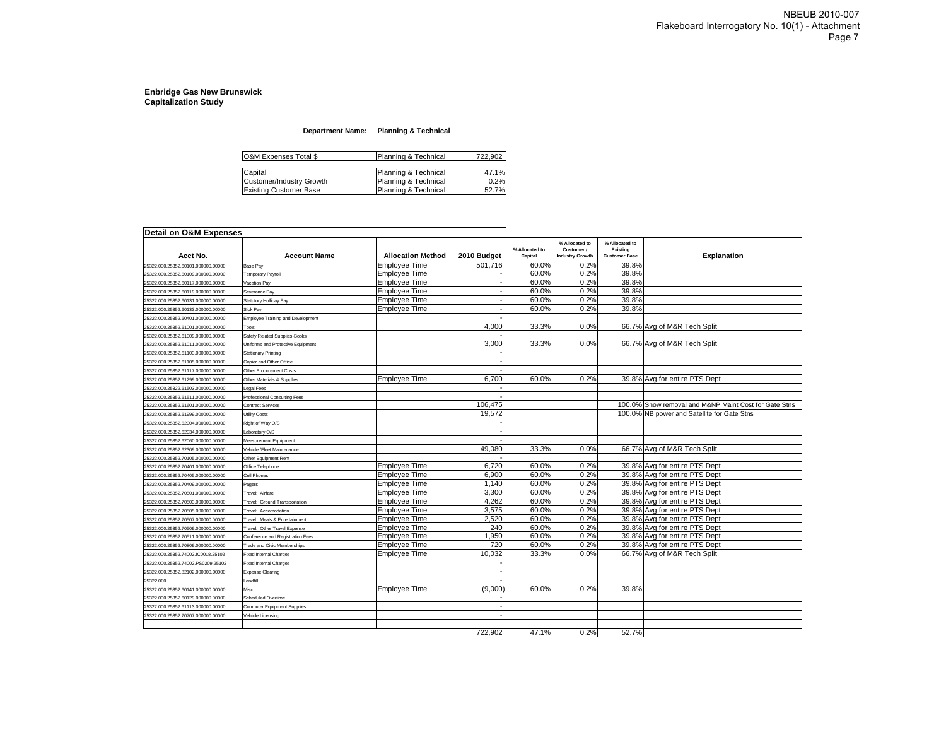#### **Department Name: Planning & Technical**

| O&M Expenses Total \$         | Planning & Technical | 722.902 |
|-------------------------------|----------------------|---------|
|                               |                      |         |
| Capital                       | Planning & Technical | 47.1%   |
| Customer/Industry Growth      | Planning & Technical | 0.2%    |
| <b>Existing Customer Base</b> | Planning & Technical | 52.7%   |

| Detail on O&M Expenses             |                                          |                          |             |                           |                                                        |                                                    |                                                       |
|------------------------------------|------------------------------------------|--------------------------|-------------|---------------------------|--------------------------------------------------------|----------------------------------------------------|-------------------------------------------------------|
| Acct No.                           | <b>Account Name</b>                      | <b>Allocation Method</b> | 2010 Budget | % Allocated to<br>Capital | % Allocated to<br>Customer /<br><b>Industry Growth</b> | % Allocated to<br>Existing<br><b>Customer Base</b> | Explanation                                           |
| 25322.000.25352.60101.000000.00000 | Base Pay                                 | Employee Time            | 501.716     | 60.0%                     | 0.2%                                                   | 39.8%                                              |                                                       |
| 25322.000.25352.60109.000000.00000 | Femporary Payroll                        | Employee Time            |             | 60.0%                     | 0.2%                                                   | 39.8%                                              |                                                       |
| 25322.000.25352.60117.000000.00000 | /acation Pay                             | <b>Employee Time</b>     |             | 60.0%                     | 0.2%                                                   | 39.8%                                              |                                                       |
| 25322.000.25352.60119.000000.00000 | Severance Pay                            | Employee Time            |             | 60.0%                     | 0.2%                                                   | 39.8%                                              |                                                       |
| 25322.000.25352.60131.000000.00000 | Statutory Holliday Pay                   | Employee Time            |             | 60.0%                     | 0.2%                                                   | 39.8%                                              |                                                       |
| 25322.000.25352.60133.000000.00000 | Sick Pay                                 | <b>Employee Time</b>     |             | 60.0%                     | 0.2%                                                   | 39.8%                                              |                                                       |
| 25322.000.25352.60401.000000.00000 | <b>Employee Training and Development</b> |                          |             |                           |                                                        |                                                    |                                                       |
| 25322.000.25352.61001.000000.00000 | Tools                                    |                          | 4,000       | 33.3%                     | 0.0%                                                   |                                                    | 66.7% Avg of M&R Tech Split                           |
| 25322.000.25352.61009.000000.00000 | Safety Related Supplies-Books            |                          |             |                           |                                                        |                                                    |                                                       |
| 25322.000.25352.61011.000000.00000 | Uniforms and Protective Equipment        |                          | 3.000       | 33.3%                     | 0.0%                                                   |                                                    | 66.7% Avg of M&R Tech Split                           |
| 25322.000.25352.61103.000000.00000 | <b>Stationary Printing</b>               |                          |             |                           |                                                        |                                                    |                                                       |
| 25322.000.25352.61105.000000.00000 | Copier and Other Office                  |                          |             |                           |                                                        |                                                    |                                                       |
| 25322.000.25352.61117.000000.00000 | Other Procurement Costs                  |                          |             |                           |                                                        |                                                    |                                                       |
| 25322.000.25352.61299.000000.00000 | Other Materials & Supplies               | Employee Time            | 6.700       | 60.0%                     | 0.2%                                                   |                                                    | 39.8% Avg for entire PTS Dept                         |
| 25322.000.25322.61503.000000.00000 | Legal Fees                               |                          |             |                           |                                                        |                                                    |                                                       |
| 25322.000.25352.61511.000000.00000 | Professional Consulting Fees             |                          |             |                           |                                                        |                                                    |                                                       |
| 25322.000.25352.61601.000000.00000 | <b>Contract Services</b>                 |                          | 106.475     |                           |                                                        |                                                    | 100.0% Snow removal and M&NP Maint Cost for Gate Stns |
| 25322.000.25352.61999.000000.00000 | Utility Costs                            |                          | 19,572      |                           |                                                        |                                                    | 100.0% NB power and Satellite for Gate Stns           |
| 25322.000.25352.62004.000000.00000 | Right of Way O/S                         |                          |             |                           |                                                        |                                                    |                                                       |
| 25322.000.25352.62034.000000.00000 | aboratory O/S                            |                          |             |                           |                                                        |                                                    |                                                       |
| 25322.000.25352.62060.000000.00000 | Measurement Equipment                    |                          |             |                           |                                                        |                                                    |                                                       |
| 25322.000.25352.62309.000000.00000 | Vehicle /Fleet Maintenance               |                          | 49,080      | 33.3%                     | 0.0%                                                   |                                                    | 66.7% Avg of M&R Tech Split                           |
| 25322.000.25352.70105.000000.00000 | Other Equipment Rent                     |                          |             |                           |                                                        |                                                    |                                                       |
| 25322.000.25352.70401.000000.00000 | Office Telephone                         | Employee Time            | 6.720       | 60.0%                     | 0.2%                                                   |                                                    | 39.8% Avg for entire PTS Dept                         |
| 25322.000.25352.70405.000000.00000 | Cell Phones                              | Employee Time            | 6.900       | 60.0%                     | 0.2%                                                   |                                                    | 39.8% Avg for entire PTS Dept                         |
| 25322.000.25352.70409.000000.00000 | Pagers                                   | <b>Employee Time</b>     | 1,140       | 60.0%                     | 0.2%                                                   |                                                    | 39.8% Avg for entire PTS Dept                         |
| 25322.000.25352.70501.000000.00000 | Travel: Airfare                          | <b>Employee Time</b>     | 3,300       | 60.0%                     | 0.2%                                                   |                                                    | 39.8% Avg for entire PTS Dept                         |
| 25322.000.25352.70503.000000.00000 | <b>Fravel: Ground Transportation</b>     | <b>Employee Time</b>     | 4,262       | 60.0%                     | 0.2%                                                   |                                                    | 39.8% Avg for entire PTS Dept                         |
| 25322.000.25352.70505.000000.00000 | <b>Travel: Accomodation</b>              | <b>Employee Time</b>     | 3.575       | 60.0%                     | 0.2%                                                   |                                                    | 39.8% Avg for entire PTS Dept                         |
| 25322.000.25352.70507.000000.00000 | Travel: Meals & Entertainment            | Employee Time            | 2,520       | 60.0%                     | 0.2%                                                   |                                                    | 39.8% Avg for entire PTS Dept                         |
| 25322.000.25352.70509.000000.00000 | Travel: Other Travel Expense             | Employee Time            | 240         | 60.0%                     | 0.2%                                                   |                                                    | 39.8% Avg for entire PTS Dept                         |
| 25322.000.25352.70511.000000.00000 | Conference and Registration Fees         | <b>Employee Time</b>     | 1.950       | 60.0%                     | 0.2%                                                   |                                                    | 39.8% Avg for entire PTS Dept                         |
| 25322.000.25352.70809.000000.00000 | <b>Trade and Civic Memberships</b>       | Emplovee Time            | 720         | 60.0%                     | 0.2%                                                   |                                                    | 39.8% Ava for entire PTS Dept                         |
| 25322.000.25352.74002.IC0018.25102 | <b>Fixed Internal Charges</b>            | Employee Time            | 10.032      | 33.3%                     | 0.0%                                                   |                                                    | 66.7% Avg of M&R Tech Split                           |
| 25322.000.25352.74002.PS0209.25102 | <b>Fixed Internal Charges</b>            |                          |             |                           |                                                        |                                                    |                                                       |
| 25322.000.25352.82102.000000.00000 | <b>Expense Clearing</b>                  |                          |             |                           |                                                        |                                                    |                                                       |
| 25322.000.                         | andfill                                  |                          |             |                           |                                                        |                                                    |                                                       |
| 25322.000.25352.60141.000000.00000 | Misc                                     | Employee Time            | (9,000)     | 60.0%                     | 0.2%                                                   | 39.8%                                              |                                                       |
| 25322.000.25352.60129.000000.00000 | Scheduled Overtime                       |                          |             |                           |                                                        |                                                    |                                                       |
| 25322.000.25352.61113.000000.00000 | Computer Equipment Supplies              |                          |             |                           |                                                        |                                                    |                                                       |
| 25322.000.25352.70707.000000.00000 | Vehicle Licensing                        |                          |             |                           |                                                        |                                                    |                                                       |
|                                    |                                          |                          |             |                           |                                                        |                                                    |                                                       |
|                                    |                                          |                          | 722.902     | 47.1%                     | 0.2%                                                   | 52.7%                                              |                                                       |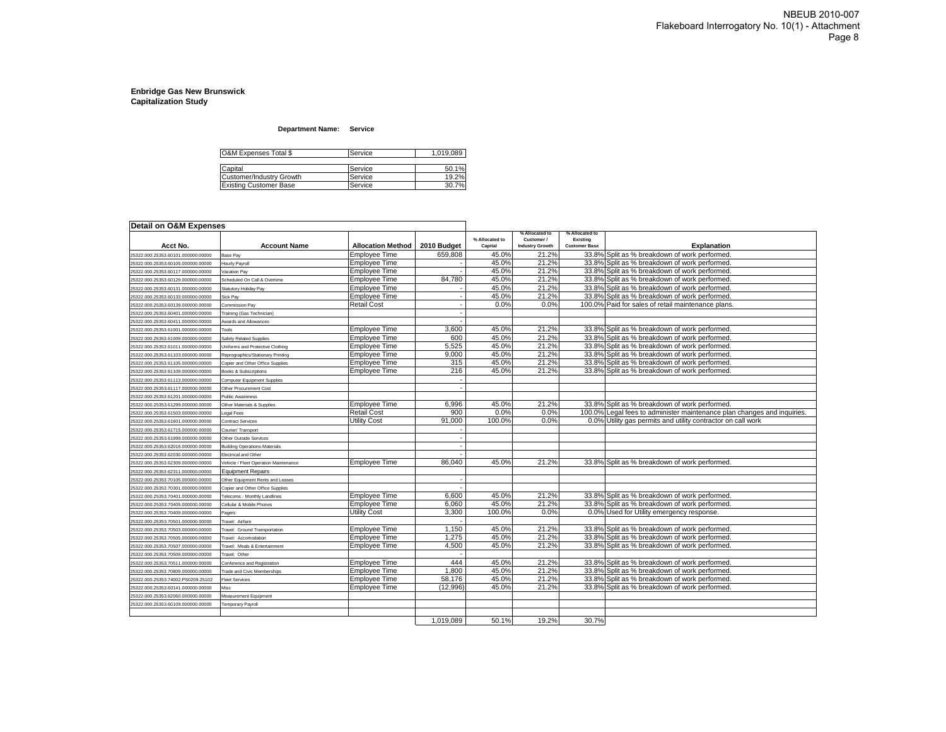#### **Department Name: Service**

| O&M Expenses Total \$         | Service | 1,019,089 |
|-------------------------------|---------|-----------|
|                               |         |           |
| Capital                       | Service | 50.1%     |
| Customer/Industry Growth      | Service | 19.2%     |
| <b>Existing Customer Base</b> | Service | 30.7%     |

| Detail on O&M Expenses             |                                       |                          |             |                           |                                                        |                                                    |                                                                         |
|------------------------------------|---------------------------------------|--------------------------|-------------|---------------------------|--------------------------------------------------------|----------------------------------------------------|-------------------------------------------------------------------------|
| Acct No.                           | <b>Account Name</b>                   | <b>Allocation Method</b> | 2010 Budget | % Allocated to<br>Capital | % Allocated to<br>Customer /<br><b>Industry Growth</b> | % Allocated to<br>Existing<br><b>Customer Base</b> | <b>Explanation</b>                                                      |
| 25322.000.25353.60101.000000.00000 | Base Pay                              | Employee Time            | 659,808     | 45.0%                     | 21.2%                                                  |                                                    | 33.8% Split as % breakdown of work performed.                           |
| 25322.000.25353.60105.000000.00000 | lourly Payroll                        | <b>Employee Time</b>     |             | 45.0%                     | 21.2%                                                  |                                                    | 33.8% Split as % breakdown of work performed.                           |
| 25322.000.25353.60117.000000.00000 | acation Pay                           | <b>Employee Time</b>     |             | 45.0%                     | 21.2%                                                  |                                                    | 33.8% Split as % breakdown of work performed.                           |
| 25322.000.25353.60129.000000.00000 | Scheduled On Call & Overtime          | <b>Employee Time</b>     | 84,780      | 45.0%                     | 21.2%                                                  |                                                    | 33.8% Split as % breakdown of work performed.                           |
| 25322.000.25353.60131.000000.00000 | Statutory Holiday Pay                 | Employee Time            |             | 45.0%                     | 21.2%                                                  |                                                    | 33.8% Split as % breakdown of work performed.                           |
| 25322.000.25353.60133.000000.00000 | Sick Pay                              | <b>Employee Time</b>     |             | 45.0%                     | 21.2%                                                  |                                                    | 33.8% Split as % breakdown of work performed.                           |
| 25322.000.25353.60139.000000.00000 | Commission Pay                        | <b>Retail Cost</b>       |             | 0.0%                      | 0.0%                                                   |                                                    | 100.0% Paid for sales of retail maintenance plans.                      |
| 25322.000.25353.60401.000000.00000 | Training (Gas Technician)             |                          |             |                           |                                                        |                                                    |                                                                         |
| 25322.000.25353.60411.000000.00000 | <b>Awards and Allowances</b>          |                          |             |                           |                                                        |                                                    |                                                                         |
| 25322.000.25353.61001.000000.00000 | Tools                                 | <b>Employee Time</b>     | 3.600       | 45.0%                     | 21.2%                                                  |                                                    | 33.8% Split as % breakdown of work performed.                           |
| 25322.000.25353.61009.000000.00000 | <b>Safety Related Supplies</b>        | <b>Employee Time</b>     | 600         | 45.0%                     | 21.2%                                                  |                                                    | 33.8% Split as % breakdown of work performed.                           |
| 25322.000.25353.61011.000000.00000 | Jniforms and Protective Clothing      | <b>Employee Time</b>     | 5,525       | 45.0%                     | 21.2%                                                  |                                                    | 33.8% Split as % breakdown of work performed.                           |
| 25322.000.25353.61103.000000.00000 | Reprographics/Stationary Printing     | <b>Employee Time</b>     | 9,000       | 45.0%                     | 21.2%                                                  |                                                    | 33.8% Split as % breakdown of work performed.                           |
| 25322.000.25353.61105.000000.00000 | Copier and Other Office Supplies      | <b>Employee Time</b>     | 315         | 45.0%                     | 21.2%                                                  |                                                    | 33.8% Split as % breakdown of work performed.                           |
| 25322.000.25353.61109.000000.00000 | Books & Subscriptions                 | <b>Employee Time</b>     | 216         | 45.0%                     | 21.2%                                                  |                                                    | 33.8% Split as % breakdown of work performed.                           |
| 25322.000.25353.61113.000000.00000 | Computer Equipment Supplies           |                          |             |                           |                                                        |                                                    |                                                                         |
| 25322.000.25353.61117.000000.00000 | Other Procurement Cost                |                          |             |                           |                                                        |                                                    |                                                                         |
| 25322.000.25353.61201.000000.00000 | Public Awareness                      |                          |             |                           |                                                        |                                                    |                                                                         |
| 25322.000.25353.61299.000000.00000 | Other Materials & Supplies            | <b>Employee Time</b>     | 6,996       | 45.0%                     | 21.2%                                                  |                                                    | 33.8% Split as % breakdown of work performed.                           |
| 25322.000.25353.61503.000000.00000 | egal Fees                             | <b>Retail Cost</b>       | 900         | 0.0%                      | 0.0%                                                   |                                                    | 100.0% Legal fees to administer maintenance plan changes and inquiries. |
| 25322.000.25353.61601.000000.00000 | <b>Contract Services</b>              | Utility Cost             | 91.000      | 100.0%                    | 0.0%                                                   |                                                    | 0.0% Utility gas permits and utility contractor on call work            |
| 25322.000.25353.61715.000000.00000 | Courier/Transport                     |                          |             |                           |                                                        |                                                    |                                                                         |
| 25322.000.25353.61999.000000.00000 | Other Outside Services                |                          |             |                           |                                                        |                                                    |                                                                         |
| 25322.000.25353.62016.000000.00000 | <b>Building Operations-Materials</b>  |                          |             |                           |                                                        |                                                    |                                                                         |
| 25322.000.25353.62030.000000.00000 | Electrical and Other                  |                          |             |                           |                                                        |                                                    |                                                                         |
| 25322.000.25353.62309.000000.00000 | /ehicle / Fleet Operation Maintenance | Employee Time            | 86,040      | 45.0%                     | 21.2%                                                  |                                                    | 33.8% Split as % breakdown of work performed.                           |
| 25322.000.25353.62311.000000.00000 | <b>Equipment Repairs</b>              |                          |             |                           |                                                        |                                                    |                                                                         |
| 25322.000.25353.70105.000000.00000 | Other Equipment Rents and Leases      |                          |             |                           |                                                        |                                                    |                                                                         |
| 25322.000.25353.70301.000000.00000 | Copier and Other Office Supplies      |                          |             |                           |                                                        |                                                    |                                                                         |
| 25322.000.25353.70401.000000.00000 | Felecoms - Monthly Landlines          | <b>Employee Time</b>     | 6,600       | 45.0%                     | 21.2%                                                  |                                                    | 33.8% Split as % breakdown of work performed.                           |
| 25322.000.25353.70405.000000.00000 | Cellular & Mobile Phones              | <b>Employee Time</b>     | 6,060       | 45.0%                     | 21.2%                                                  |                                                    | 33.8% Split as % breakdown of work performed.                           |
| 25322.000.25353.70409.000000.00000 | Pagers                                | Utility Cost             | 3,300       | 100.0%                    | 0.0%                                                   |                                                    | 0.0% Used for Utility emergency response.                               |
| 25322.000.25353.70501.000000.00000 | Travel: Airfare                       |                          |             |                           |                                                        |                                                    |                                                                         |
| 25322.000.25353.70503.000000.00000 | <b>Travel: Ground Transportation</b>  | <b>Employee Time</b>     | 1.150       | 45.0%                     | 21.2%                                                  |                                                    | 33.8% Split as % breakdown of work performed.                           |
| 25322.000.25353.70505.000000.00000 | ravel: Accomodation                   | <b>Employee Time</b>     | 1.275       | 45.0%                     | 21.2%                                                  |                                                    | 33.8% Split as % breakdown of work performed.                           |
| 25322.000.25353.70507.000000.00000 | Fravel: Meals & Entertainment         | Employee Time            | 4,500       | 45.0%                     | 21.2%                                                  | 33.8%                                              | Split as % breakdown of work performed.                                 |
| 25322.000.25353.70509.000000.00000 | Travel: Other                         |                          |             |                           |                                                        |                                                    |                                                                         |
| 25322.000.25353.70511.000000.00000 | Conference and Registration           | <b>Employee Time</b>     | 444         | 45.0%                     | 21.2%                                                  |                                                    | 33.8% Split as % breakdown of work performed.                           |
| 25322.000.25353.70809.000000.00000 | rade and Civic Memberships            | <b>Employee Time</b>     | 1,800       | 45.0%                     | 21.2%                                                  |                                                    | 33.8% Split as % breakdown of work performed.                           |
| 25322.000.25353.74002.PS0209.25102 | <b>Fleet Services</b>                 | Employee Time            | 58,176      | 45.0%                     | 21.2%                                                  |                                                    | 33.8% Split as % breakdown of work performed.                           |
| 25322.000.25353.60141.000000.00000 | Misc                                  | Employee Time            | (12,996)    | 45.0%                     | 21.2%                                                  |                                                    | 33.8% Split as % breakdown of work performed.                           |
| 25322.000.25353.62060.000000.00000 | Measurement Equipment                 |                          |             |                           |                                                        |                                                    |                                                                         |
| 25322.000.25353.60109.000000.00000 | <b>Temporary Payroll</b>              |                          |             |                           |                                                        |                                                    |                                                                         |
|                                    |                                       |                          |             |                           |                                                        |                                                    |                                                                         |
|                                    |                                       |                          | 1,019,089   | 50.1%                     | 19.2%                                                  | 30.7%                                              |                                                                         |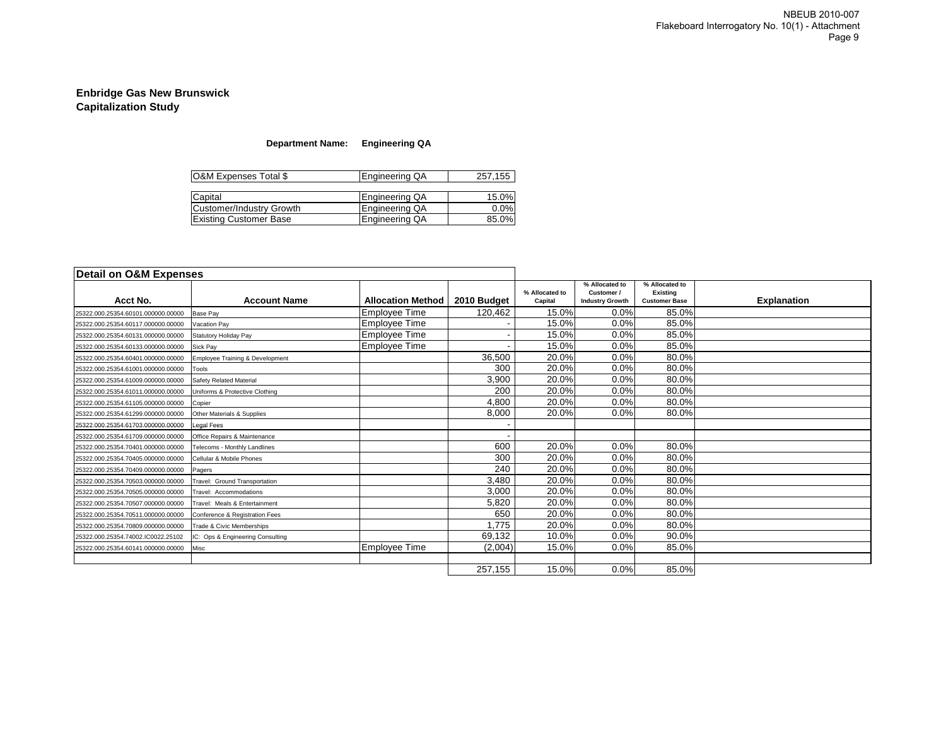### **Department Name: Engineering QA**

| O&M Expenses Total \$           | Engineering QA        | 257,155 |
|---------------------------------|-----------------------|---------|
|                                 |                       |         |
| Capital                         | <b>Engineering QA</b> | 15.0%   |
| <b>Customer/Industry Growth</b> | Engineering QA        | 0.0%    |
| <b>Existing Customer Base</b>   | Engineering QA        | 85.0%   |

| Detail on O&M Expenses             |                                  |                          |             |                           | % Allocated to                       | % Allocated to                          |                    |
|------------------------------------|----------------------------------|--------------------------|-------------|---------------------------|--------------------------------------|-----------------------------------------|--------------------|
| Acct No.                           | <b>Account Name</b>              | <b>Allocation Method</b> | 2010 Budget | % Allocated to<br>Capital | Customer /<br><b>Industry Growth</b> | <b>Existing</b><br><b>Customer Base</b> | <b>Explanation</b> |
| 25322.000.25354.60101.000000.00000 | <b>Base Pay</b>                  | <b>Employee Time</b>     | 120,462     | 15.0%                     | 0.0%                                 | 85.0%                                   |                    |
| 25322.000.25354.60117.000000.00000 | Vacation Pav                     | Employee Time            |             | 15.0%                     | 0.0%                                 | 85.0%                                   |                    |
| 25322.000.25354.60131.000000.00000 | Statutory Holiday Pay            | <b>Employee Time</b>     |             | 15.0%                     | 0.0%                                 | 85.0%                                   |                    |
| 25322.000.25354.60133.000000.00000 | Sick Pay                         | <b>Employee Time</b>     |             | 15.0%                     | 0.0%                                 | 85.0%                                   |                    |
| 25322.000.25354.60401.000000.00000 | Employee Training & Development  |                          | 36,500      | 20.0%                     | 0.0%                                 | 80.0%                                   |                    |
| 25322.000.25354.61001.000000.00000 | Tools                            |                          | 300         | 20.0%                     | 0.0%                                 | 80.0%                                   |                    |
| 25322.000.25354.61009.000000.00000 | Safety Related Material          |                          | 3,900       | 20.0%                     | 0.0%                                 | 80.0%                                   |                    |
| 25322.000.25354.61011.000000.00000 | Uniforms & Protective Clothing   |                          | 200         | 20.0%                     | 0.0%                                 | 80.0%                                   |                    |
| 25322.000.25354.61105.000000.00000 | Copier                           |                          | 4,800       | 20.0%                     | 0.0%                                 | 80.0%                                   |                    |
| 25322.000.25354.61299.000000.00000 | Other Materials & Supplies       |                          | 8,000       | 20.0%                     | 0.0%                                 | 80.0%                                   |                    |
| 25322.000.25354.61703.000000.00000 | Legal Fees                       |                          |             |                           |                                      |                                         |                    |
| 25322.000.25354.61709.000000.00000 | Office Repairs & Maintenance     |                          |             |                           |                                      |                                         |                    |
| 25322.000.25354.70401.000000.00000 | Telecoms - Monthly Landlines     |                          | 600         | 20.0%                     | 0.0%                                 | 80.0%                                   |                    |
| 25322.000.25354.70405.000000.00000 | Cellular & Mobile Phones         |                          | 300         | 20.0%                     | 0.0%                                 | 80.0%                                   |                    |
| 25322.000.25354.70409.000000.00000 | Pagers                           |                          | 240         | 20.0%                     | 0.0%                                 | 80.0%                                   |                    |
| 25322.000.25354.70503.000000.00000 | Travel: Ground Transportation    |                          | 3,480       | 20.0%                     | 0.0%                                 | 80.0%                                   |                    |
| 25322.000.25354.70505.000000.00000 | Travel: Accommodations           |                          | 3,000       | 20.0%                     | 0.0%                                 | 80.0%                                   |                    |
| 25322.000.25354.70507.000000.00000 | Travel: Meals & Entertainment    |                          | 5,820       | 20.0%                     | 0.0%                                 | 80.0%                                   |                    |
| 25322.000.25354.70511.000000.00000 | Conference & Registration Fees   |                          | 650         | 20.0%                     | 0.0%                                 | 80.0%                                   |                    |
| 25322.000.25354.70809.000000.00000 | Trade & Civic Memberships        |                          | 1,775       | 20.0%                     | 0.0%                                 | 80.0%                                   |                    |
| 25322.000.25354.74002.IC0022.25102 | IC: Ops & Engineering Consulting |                          | 69,132      | 10.0%                     | 0.0%                                 | 90.0%                                   |                    |
| 25322.000.25354.60141.000000.00000 | Misc                             | <b>Employee Time</b>     | (2,004)     | 15.0%                     | 0.0%                                 | 85.0%                                   |                    |
|                                    |                                  |                          |             |                           |                                      |                                         |                    |
|                                    |                                  |                          | 257,155     | 15.0%                     | 0.0%                                 | 85.0%                                   |                    |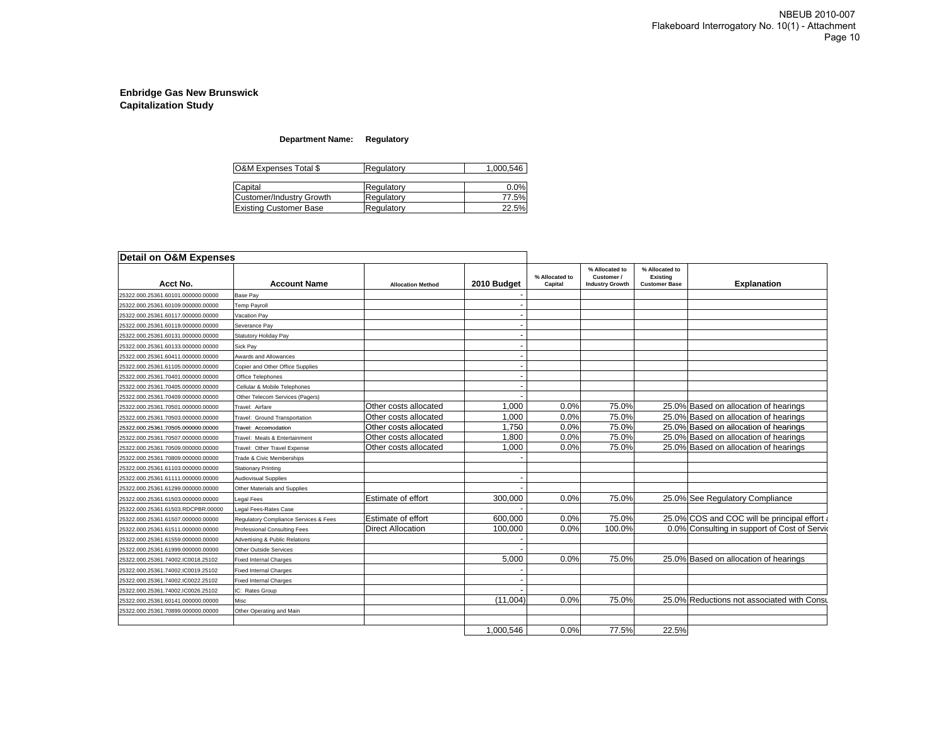### **Department Name: Regulatory**

| O&M Expenses Total \$<br>Regulatory |            | 1,000,546 |
|-------------------------------------|------------|-----------|
| Capital                             | Regulatory | 0.0%      |
| Customer/Industry Growth            | Regulatory | 77.5%     |
| <b>Existing Customer Base</b>       | Regulatory | 22.5%     |

| Detail on O&M Expenses             |                                       |                           |                          |                           |                                                        |                                                    |                                              |
|------------------------------------|---------------------------------------|---------------------------|--------------------------|---------------------------|--------------------------------------------------------|----------------------------------------------------|----------------------------------------------|
| Acct No.                           | <b>Account Name</b>                   | <b>Allocation Method</b>  | 2010 Budget              | % Allocated to<br>Capital | % Allocated to<br>Customer /<br><b>Industry Growth</b> | % Allocated to<br>Existina<br><b>Customer Base</b> | <b>Explanation</b>                           |
| 25322.000.25361.60101.000000.00000 | <b>Base Pay</b>                       |                           |                          |                           |                                                        |                                                    |                                              |
| 25322.000.25361.60109.000000.00000 | <b>Temp Payroll</b>                   |                           |                          |                           |                                                        |                                                    |                                              |
| 25322.000.25361.60117.000000.00000 | Vacation Pay                          |                           |                          |                           |                                                        |                                                    |                                              |
| 25322.000.25361.60119.000000.00000 | Severance Pay                         |                           |                          |                           |                                                        |                                                    |                                              |
| 25322.000.25361.60131.000000.00000 | <b>Statutory Holiday Pay</b>          |                           |                          |                           |                                                        |                                                    |                                              |
| 25322.000.25361.60133.000000.00000 | Sick Pay                              |                           |                          |                           |                                                        |                                                    |                                              |
| 25322.000.25361.60411.000000.00000 | Awards and Allowances                 |                           |                          |                           |                                                        |                                                    |                                              |
| 25322.000.25361.61105.000000.00000 | Copier and Other Office Supplies      |                           |                          |                           |                                                        |                                                    |                                              |
| 25322.000.25361.70401.000000.00000 | Office Telephones                     |                           |                          |                           |                                                        |                                                    |                                              |
| 25322.000.25361.70405.000000.00000 | Cellular & Mobile Telephones          |                           |                          |                           |                                                        |                                                    |                                              |
| 25322.000.25361.70409.000000.00000 | Other Telecom Services (Pagers)       |                           |                          |                           |                                                        |                                                    |                                              |
| 25322.000.25361.70501.000000.00000 | Travel: Airfare                       | Other costs allocated     | 1.000                    | 0.0%                      | 75.0%                                                  |                                                    | 25.0% Based on allocation of hearings        |
| 25322.000.25361.70503.000000.00000 | Travel: Ground Transportation         | Other costs allocated     | 1.000                    | 0.0%                      | 75.0%                                                  |                                                    | 25.0% Based on allocation of hearings        |
| 25322.000.25361.70505.000000.00000 | Travel: Accomodation                  | Other costs allocated     | 1.750                    | 0.0%                      | 75.0%                                                  |                                                    | 25.0% Based on allocation of hearings        |
| 25322.000.25361.70507.000000.00000 | Travel: Meals & Entertainment         | Other costs allocated     | 1.800                    | 0.0%                      | 75.0%                                                  |                                                    | 25.0% Based on allocation of hearings        |
| 25322.000.25361.70509.000000.00000 | Travel: Other Travel Expense          | Other costs allocated     | 1,000                    | 0.0%                      | 75.0%                                                  |                                                    | 25.0% Based on allocation of hearings        |
| 25322.000.25361.70809.000000.00000 | Trade & Civic Memberships             |                           |                          |                           |                                                        |                                                    |                                              |
| 25322.000.25361.61103.000000.00000 | <b>Stationary Printing</b>            |                           |                          |                           |                                                        |                                                    |                                              |
| 25322.000.25361.61111.000000.00000 | <b>Audiovisual Supplies</b>           |                           | $\overline{\phantom{a}}$ |                           |                                                        |                                                    |                                              |
| 25322.000.25361.61299.000000.00000 | Other Materials and Supplies          |                           |                          |                           |                                                        |                                                    |                                              |
| 25322.000.25361.61503.000000.00000 | Legal Fees                            | <b>Estimate of effort</b> | 300.000                  | 0.0%                      | 75.0%                                                  |                                                    | 25.0% See Regulatory Compliance              |
| 25322.000.25361.61503.RDCPBR.00000 | Legal Fees-Rates Case                 |                           |                          |                           |                                                        |                                                    |                                              |
| 25322.000.25361.61507.000000.00000 | Regulatory Compliance Services & Fees | Estimate of effort        | 600.000                  | 0.0%                      | 75.0%                                                  |                                                    | 25.0% COS and COC will be principal effort a |
| 25322.000.25361.61511.000000.00000 | <b>Professional Consulting Fees</b>   | <b>Direct Allocation</b>  | 100.000                  | 0.0%                      | 100.0%                                                 |                                                    | 0.0% Consulting in support of Cost of Servic |
| 25322.000.25361.61559.000000.00000 | Advertising & Public Relations        |                           |                          |                           |                                                        |                                                    |                                              |
| 25322.000.25361.61999.000000.00000 | <b>Other Outside Services</b>         |                           |                          |                           |                                                        |                                                    |                                              |
| 25322.000.25361.74002.IC0018.25102 | <b>Fixed Internal Charges</b>         |                           | 5,000                    | 0.0%                      | 75.0%                                                  |                                                    | 25.0% Based on allocation of hearings        |
| 25322.000.25361.74002.IC0019.25102 | <b>Fixed Internal Charges</b>         |                           |                          |                           |                                                        |                                                    |                                              |
| 25322.000.25361.74002.IC0022.25102 | <b>Fixed Internal Charges</b>         |                           |                          |                           |                                                        |                                                    |                                              |
| 25322.000.25361.74002.IC0026.25102 | IC: Rates Group                       |                           |                          |                           |                                                        |                                                    |                                              |
| 25322.000.25361.60141.000000.00000 | Misc                                  |                           | (11,004)                 | 0.0%                      | 75.0%                                                  |                                                    | 25.0% Reductions not associated with Consul  |
| 25322.000.25361.70899.000000.00000 | Other Operating and Main              |                           |                          |                           |                                                        |                                                    |                                              |
|                                    |                                       |                           |                          |                           |                                                        |                                                    |                                              |
|                                    |                                       |                           | 1.000.546                | 0.0%                      | 77.5%                                                  | 22.5%                                              |                                              |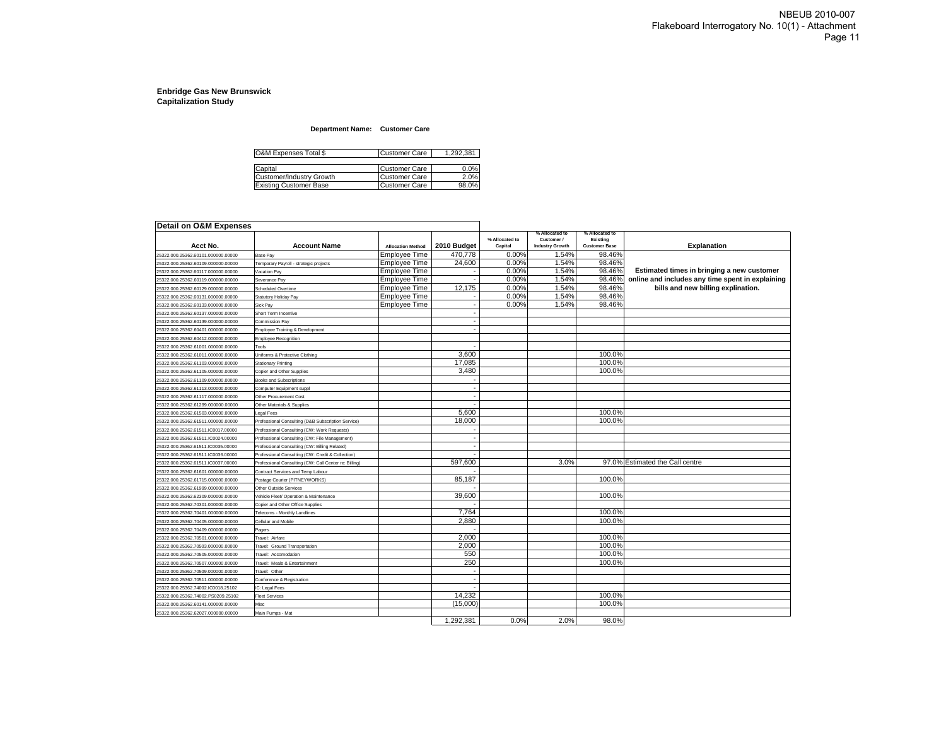#### **Department Name: Customer Care**

| O&M Expenses Total \$         | <b>Customer Care</b> | 1.292.381 |
|-------------------------------|----------------------|-----------|
|                               |                      |           |
| Capital                       | <b>Customer Care</b> | 0.0%      |
| Customer/Industry Growth      | <b>Customer Care</b> | 2.0%      |
| <b>Existing Customer Base</b> | <b>Customer Care</b> | 98.0%     |

| <b>Detail on O&amp;M Expenses</b>  |                                                       |                          |             |                           |                                                        |                                                    |                                                  |
|------------------------------------|-------------------------------------------------------|--------------------------|-------------|---------------------------|--------------------------------------------------------|----------------------------------------------------|--------------------------------------------------|
| Acct No.                           | <b>Account Name</b>                                   | <b>Allocation Method</b> | 2010 Budget | % Allocated to<br>Capital | % Allocated to<br>Customer /<br><b>Industry Growth</b> | % Allocated to<br>Existing<br><b>Customer Base</b> | <b>Explanation</b>                               |
| 25322.000.25362.60101.000000.00000 | Base Pay                                              | Employee Time            | 470,778     | 0.00%                     | 1.54%                                                  | 98.46%                                             |                                                  |
| 25322.000.25362.60109.000000.00000 | Temporary Payroll - strategic projects                | Employee Time            | 24,600      | 0.00%                     | 1.54%                                                  | 98.46%                                             |                                                  |
| 25322.000.25362.60117.000000.00000 | /acation Pav                                          | Employee Time            |             | 0.00%                     | 1.54%                                                  | 98.46%                                             | Estimated times in bringing a new customer       |
| 25322.000.25362.60119.000000.00000 | Severance Pav                                         | Employee Time            |             | 0.00%                     | 1.54%                                                  | 98.46%                                             | online and includes any time spent in explaining |
| 25322.000.25362.60129.000000.00000 | <b>Scheduled Overtime</b>                             | Employee Time            | 12,175      | 0.00%                     | 1.54%                                                  | 98.46%                                             | bills and new billing explination.               |
| 25322.000.25362.60131.000000.00000 | Statutory Holiday Pay                                 | Employee Time            |             | 0.00%                     | 1.54%                                                  | 98.46%                                             |                                                  |
| 25322.000.25362.60133.000000.00000 | Sick Pay                                              | Employee Time            |             | 0.00%                     | 1.54%                                                  | 98.46%                                             |                                                  |
| 25322.000.25362.60137.000000.00000 | Short Term Incentive                                  |                          |             |                           |                                                        |                                                    |                                                  |
| 25322.000.25362.60139.000000.00000 | Commission Pay                                        |                          |             |                           |                                                        |                                                    |                                                  |
| 25322.000.25362.60401.000000.00000 | <b>Employee Training &amp; Development</b>            |                          |             |                           |                                                        |                                                    |                                                  |
| 25322.000.25362.60412.000000.00000 | Employee Recognition                                  |                          |             |                           |                                                        |                                                    |                                                  |
| 25322.000.25362.61001.000000.00000 | Tools                                                 |                          |             |                           |                                                        |                                                    |                                                  |
| 25322.000.25362.61011.000000.00000 | Uniforms & Protective Clothing                        |                          | 3.600       |                           |                                                        | 100.0%                                             |                                                  |
| 25322.000.25362.61103.000000.00000 | <b>Stationary Printing</b>                            |                          | 17,085      |                           |                                                        | 100.0%                                             |                                                  |
| 25322.000.25362.61105.000000.00000 | Copier and Other Supplies                             |                          | 3,480       |                           |                                                        | 100.0%                                             |                                                  |
| 25322.000.25362.61109.000000.00000 | <b>Books and Subscriptions</b>                        |                          |             |                           |                                                        |                                                    |                                                  |
| 25322.000.25362.61113.000000.00000 | Computer Equipment suppl                              |                          |             |                           |                                                        |                                                    |                                                  |
| 25322.000.25362.61117.000000.00000 | Other Procurement Cost                                |                          |             |                           |                                                        |                                                    |                                                  |
| 25322.000.25362.61299.000000.00000 | Other Materials & Supplies                            |                          |             |                           |                                                        |                                                    |                                                  |
| 25322.000.25362.61503.000000.00000 | egal Fees                                             |                          | 5.600       |                           |                                                        | 100.0%                                             |                                                  |
| 25322.000.25362.61511.000000.00000 | Professional Consulting (D&B Subscription Service)    |                          | 18.000      |                           |                                                        | 100.0%                                             |                                                  |
| 25322.000.25362.61511.IC0017.00000 | Professional Consulting (CW: Work Requests)           |                          |             |                           |                                                        |                                                    |                                                  |
| 25322.000.25362.61511.IC0024.00000 | Professional Consulting (CW: File Management)         |                          |             |                           |                                                        |                                                    |                                                  |
| 25322.000.25362.61511.IC0035.00000 | Professional Consulting (CW: Billing Related)         |                          |             |                           |                                                        |                                                    |                                                  |
| 25322.000.25362.61511.IC0036.00000 | Professional Consulting (CW: Credit & Collection)     |                          |             |                           |                                                        |                                                    |                                                  |
| 25322.000.25362.61511.IC0037.00000 | Professional Consulting (CW: Call Center re: Billing) |                          | 597,600     |                           | 3.0%                                                   |                                                    | 97.0% Estimated the Call centre                  |
| 25322.000.25362.61601.000000.00000 | Contract Services and Temp Labour                     |                          |             |                           |                                                        |                                                    |                                                  |
| 25322.000.25362.61715.000000.00000 | Postage Courier (PITNEYWORKS)                         |                          | 85,187      |                           |                                                        | 100.0%                                             |                                                  |
| 25322.000.25362.61999.000000.00000 | Other Outside Services                                |                          |             |                           |                                                        |                                                    |                                                  |
| 25322.000.25362.62309.000000.00000 | Vehicle Fleet/ Operation & Maintenance                |                          | 39.600      |                           |                                                        | 100.0%                                             |                                                  |
| 25322.000.25362.70301.000000.00000 | Copier and Other Office Supplies                      |                          |             |                           |                                                        |                                                    |                                                  |
| 25322.000.25362.70401.000000.00000 | Telecoms - Monthly Landlines                          |                          | 7,764       |                           |                                                        | 100.0%                                             |                                                  |
| 25322.000.25362.70405.000000.00000 | Cellular and Mobile                                   |                          | 2,880       |                           |                                                        | 100.0%                                             |                                                  |
| 25322.000.25362.70409.000000.00000 | Pagers                                                |                          |             |                           |                                                        |                                                    |                                                  |
| 25322.000.25362.70501.000000.00000 | Travel: Airfare                                       |                          | 2,000       |                           |                                                        | 100.0%                                             |                                                  |
| 25322.000.25362.70503.000000.00000 | Travel: Ground Transportation                         |                          | 2,000       |                           |                                                        | 100.0%                                             |                                                  |
| 25322.000.25362.70505.000000.00000 |                                                       |                          | 550         |                           |                                                        | 100.0%                                             |                                                  |
|                                    | Travel: Accomodation                                  |                          | 250         |                           |                                                        | 100.0%                                             |                                                  |
| 25322.000.25362.70507.000000.00000 | Fravel: Meals & Entertainment                         |                          |             |                           |                                                        |                                                    |                                                  |
| 25322.000.25362.70509.000000.00000 | Travel: Other                                         |                          |             |                           |                                                        |                                                    |                                                  |
| 25322.000.25362.70511.000000.00000 | Conference & Registration                             |                          |             |                           |                                                        |                                                    |                                                  |
| 25322.000.25362.74002.IC0018.25102 | IC: Legal Fees                                        |                          | 14.232      |                           |                                                        | 100.0%                                             |                                                  |
| 25322.000.25362.74002.PS0209.25102 | <b>Fleet Services</b>                                 |                          |             |                           |                                                        |                                                    |                                                  |
| 25322.000.25362.60141.000000.00000 | Misc                                                  |                          | (15,000)    |                           |                                                        | 100.0%                                             |                                                  |
| 25322.000.25362.62027.000000.00000 | Main Pumps - Mat                                      |                          | 1,292,381   | 0.0%                      | 2.0%                                                   | 98.0%                                              |                                                  |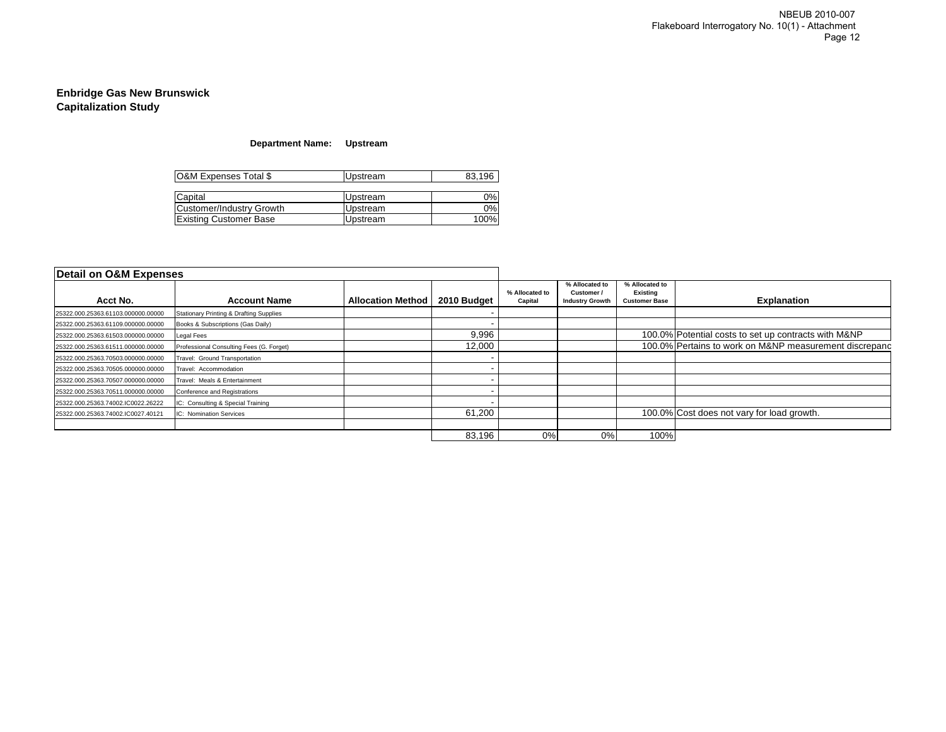### **Department Name: Upstream**

| O&M Expenses Total \$         | Upstream        | 83,196 |  |
|-------------------------------|-----------------|--------|--|
| Capital                       | <b>Upstream</b> | 0%l    |  |
| Customer/Industry Growth      | Upstream        | 0%l    |  |
| <b>Existing Customer Base</b> | Upstream        | 100%   |  |

| Detail on O&M Expenses             |                                                    |                          |             |                           |                                                        |                                                    |                                                        |
|------------------------------------|----------------------------------------------------|--------------------------|-------------|---------------------------|--------------------------------------------------------|----------------------------------------------------|--------------------------------------------------------|
| Acct No.                           | <b>Account Name</b>                                | <b>Allocation Method</b> | 2010 Budget | % Allocated to<br>Capital | % Allocated to<br>Customer /<br><b>Industry Growth</b> | % Allocated to<br>Existing<br><b>Customer Base</b> | <b>Explanation</b>                                     |
| 25322.000.25363.61103.000000.00000 | <b>Stationary Printing &amp; Drafting Supplies</b> |                          |             |                           |                                                        |                                                    |                                                        |
| 25322.000.25363.61109.000000.00000 | Books & Subscriptions (Gas Daily)                  |                          |             |                           |                                                        |                                                    |                                                        |
| 25322.000.25363.61503.000000.00000 | Legal Fees                                         |                          | 9,996       |                           |                                                        |                                                    | 100.0% Potential costs to set up contracts with M&NP   |
| 25322.000.25363.61511.000000.00000 | Professional Consulting Fees (G. Forget)           |                          | 12,000      |                           |                                                        |                                                    | 100.0% Pertains to work on M&NP measurement discrepand |
| 25322.000.25363.70503.000000.00000 | Travel: Ground Transportation                      |                          |             |                           |                                                        |                                                    |                                                        |
| 25322.000.25363.70505.000000.00000 | Travel: Accommodation                              |                          |             |                           |                                                        |                                                    |                                                        |
| 25322.000.25363.70507.000000.00000 | Travel: Meals & Entertainment                      |                          |             |                           |                                                        |                                                    |                                                        |
| 25322.000.25363.70511.000000.00000 | Conference and Registrations                       |                          |             |                           |                                                        |                                                    |                                                        |
| 25322.000.25363.74002.IC0022.26222 | IC: Consulting & Special Training                  |                          |             |                           |                                                        |                                                    |                                                        |
| 25322.000.25363.74002.IC0027.40121 | IC: Nomination Services                            |                          | 61,200      |                           |                                                        |                                                    | 100.0% Cost does not vary for load growth.             |
|                                    |                                                    |                          |             |                           |                                                        |                                                    |                                                        |
|                                    |                                                    |                          | 83,196      | 0%                        | 0%                                                     | 100%                                               |                                                        |